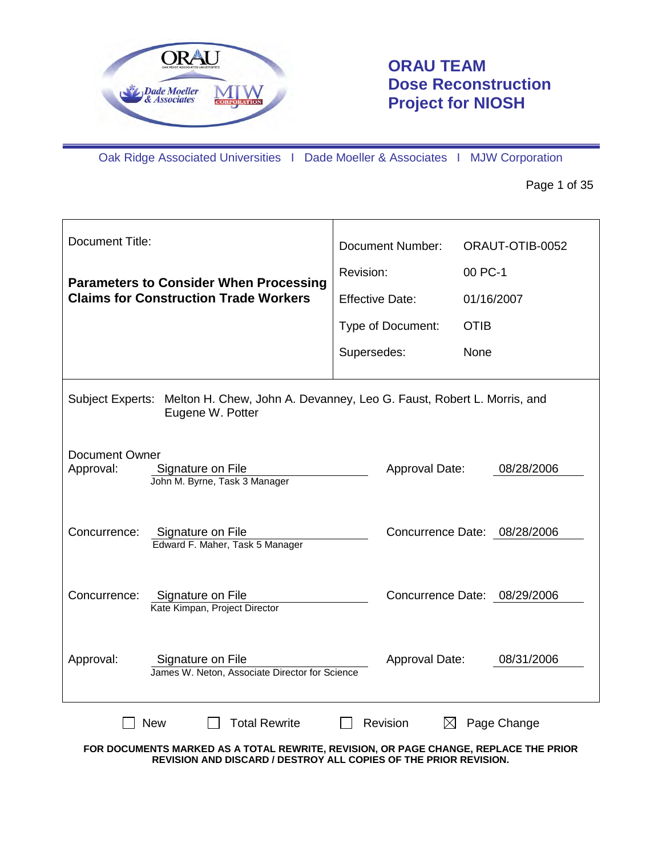

# **ORAU TEAM Dose Reconstruction Project for NIOSH**

Oak Ridge Associated Universities I Dade Moeller & Associates I MJW Corporation

Page 1 of 35

| <b>Document Title:</b>                                                                                                                                                                         | Document Number:        | ORAUT-OTIB-0052              |  |  |
|------------------------------------------------------------------------------------------------------------------------------------------------------------------------------------------------|-------------------------|------------------------------|--|--|
| <b>Parameters to Consider When Processing</b>                                                                                                                                                  | Revision:               | 00 PC-1                      |  |  |
| <b>Claims for Construction Trade Workers</b>                                                                                                                                                   | <b>Effective Date:</b>  | 01/16/2007                   |  |  |
|                                                                                                                                                                                                | Type of Document:       | <b>OTIB</b>                  |  |  |
|                                                                                                                                                                                                | Supersedes:             | None                         |  |  |
| Subject Experts: Melton H. Chew, John A. Devanney, Leo G. Faust, Robert L. Morris, and<br>Eugene W. Potter                                                                                     |                         |                              |  |  |
| Document Owner<br>Approval:<br>Signature on File<br>John M. Byrne, Task 3 Manager                                                                                                              | Approval Date:          | 08/28/2006                   |  |  |
| Concurrence:<br>Signature on File<br>Edward F. Maher, Task 5 Manager                                                                                                                           |                         | Concurrence Date: 08/28/2006 |  |  |
| Signature on File<br>Concurrence:<br>Kate Kimpan, Project Director                                                                                                                             |                         | Concurrence Date: 08/29/2006 |  |  |
| Approval:<br>Signature on File<br>James W. Neton, Associate Director for Science                                                                                                               | Approval Date:          | 08/31/2006                   |  |  |
| <b>New</b><br><b>Total Rewrite</b><br>FOR DOCUMENTS MARKED AS A TOTAL REWRITE, REVISION, OR PAGE CHANGE, REPLACE THE PRIOR<br>REVISION AND DISCARD / DESTROY ALL COPIES OF THE PRIOR REVISION. | Revision<br>$\boxtimes$ | Page Change                  |  |  |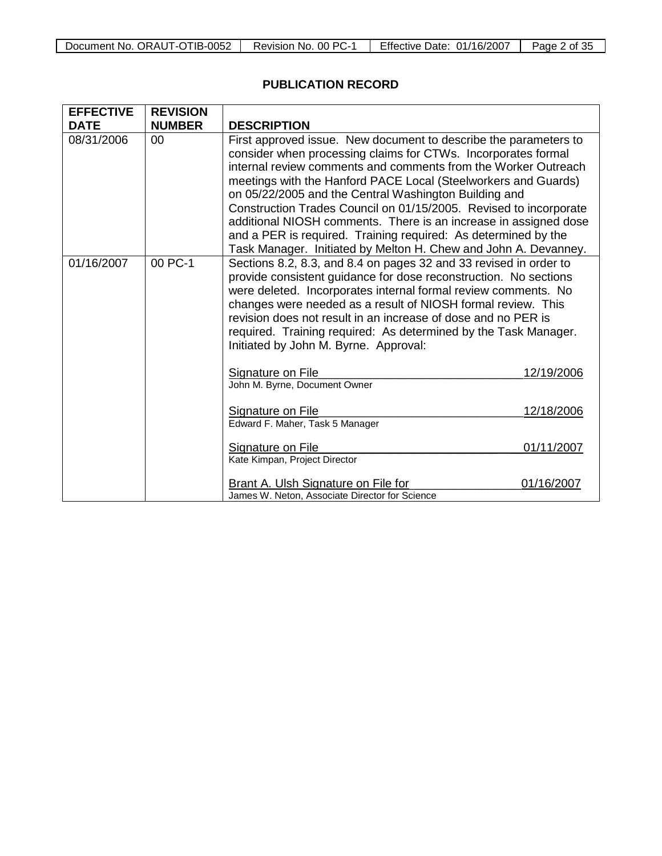| Document No. ORAUT-OTIB-0052   Revision No. 00 PC-1   Effective Date: 01/16/2007   Page 2 of 35 |  |  |  |
|-------------------------------------------------------------------------------------------------|--|--|--|
|-------------------------------------------------------------------------------------------------|--|--|--|

## **PUBLICATION RECORD**

| <b>EFFECTIVE</b> | <b>REVISION</b> |                                                                                                                                                                                                                                                                                                                                                                                                                                                                                                                                                                                                              |            |
|------------------|-----------------|--------------------------------------------------------------------------------------------------------------------------------------------------------------------------------------------------------------------------------------------------------------------------------------------------------------------------------------------------------------------------------------------------------------------------------------------------------------------------------------------------------------------------------------------------------------------------------------------------------------|------------|
| <b>DATE</b>      | <b>NUMBER</b>   | <b>DESCRIPTION</b>                                                                                                                                                                                                                                                                                                                                                                                                                                                                                                                                                                                           |            |
| 08/31/2006       | 00              | First approved issue. New document to describe the parameters to<br>consider when processing claims for CTWs. Incorporates formal<br>internal review comments and comments from the Worker Outreach<br>meetings with the Hanford PACE Local (Steelworkers and Guards)<br>on 05/22/2005 and the Central Washington Building and<br>Construction Trades Council on 01/15/2005. Revised to incorporate<br>additional NIOSH comments. There is an increase in assigned dose<br>and a PER is required. Training required: As determined by the<br>Task Manager. Initiated by Melton H. Chew and John A. Devanney. |            |
| 01/16/2007       | 00 PC-1         | Sections 8.2, 8.3, and 8.4 on pages 32 and 33 revised in order to<br>provide consistent guidance for dose reconstruction. No sections<br>were deleted. Incorporates internal formal review comments. No<br>changes were needed as a result of NIOSH formal review. This<br>revision does not result in an increase of dose and no PER is<br>required. Training required: As determined by the Task Manager.<br>Initiated by John M. Byrne. Approval:                                                                                                                                                         |            |
|                  |                 | Signature on File<br>John M. Byrne, Document Owner                                                                                                                                                                                                                                                                                                                                                                                                                                                                                                                                                           | 12/19/2006 |
|                  |                 | Signature on File<br>Edward F. Maher, Task 5 Manager                                                                                                                                                                                                                                                                                                                                                                                                                                                                                                                                                         | 12/18/2006 |
|                  |                 | Signature on File<br>Kate Kimpan, Project Director                                                                                                                                                                                                                                                                                                                                                                                                                                                                                                                                                           | 01/11/2007 |
|                  |                 | <b>Brant A. Ulsh Signature on File for</b><br>James W. Neton, Associate Director for Science                                                                                                                                                                                                                                                                                                                                                                                                                                                                                                                 | 01/16/2007 |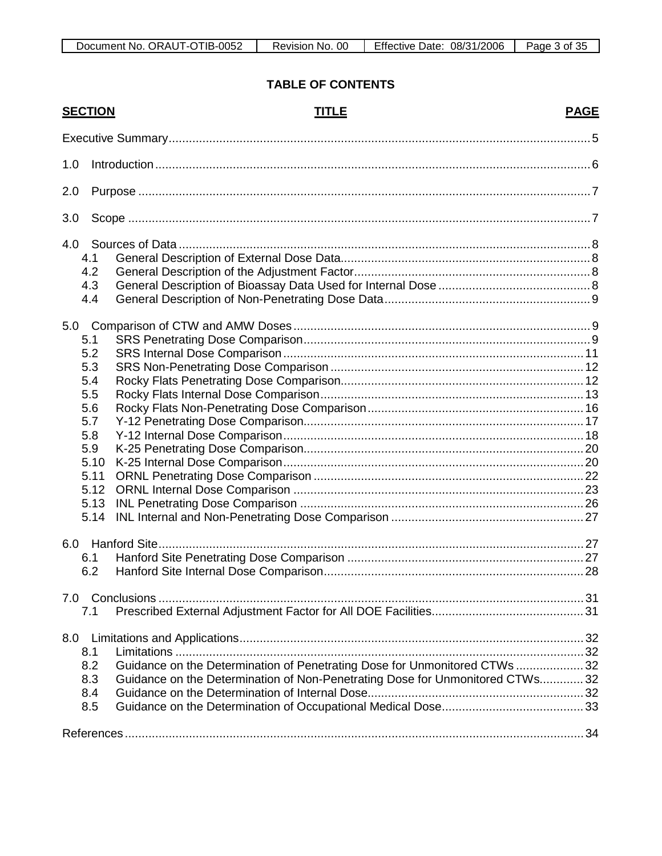### **TABLE OF CONTENTS**

| <b>SECTION</b> | <b>TITLE</b>                                                                  | <b>PAGE</b> |
|----------------|-------------------------------------------------------------------------------|-------------|
|                |                                                                               |             |
| 1.0            |                                                                               |             |
| 2.0            |                                                                               |             |
| 3.0            |                                                                               |             |
| 4.0            |                                                                               |             |
| 4.1            |                                                                               |             |
| 4.2            |                                                                               |             |
| 4.3            |                                                                               |             |
| 4.4            |                                                                               |             |
|                |                                                                               |             |
| 5.1            |                                                                               |             |
| 5.2            |                                                                               |             |
| 5.3            |                                                                               |             |
| 5.4            |                                                                               |             |
| 5.5            |                                                                               |             |
| 5.6            |                                                                               |             |
| 5.7            |                                                                               |             |
| 5.8            |                                                                               |             |
| 5.9            |                                                                               |             |
| 5.10           |                                                                               |             |
| 5.11           |                                                                               |             |
| 5.12           |                                                                               |             |
| 5.13           |                                                                               |             |
| 5.14           |                                                                               |             |
|                |                                                                               |             |
| 6.1            |                                                                               |             |
| 6.2            |                                                                               |             |
|                |                                                                               |             |
| 7.1            |                                                                               |             |
|                |                                                                               |             |
| 8.1            |                                                                               |             |
| 8.2            | Guidance on the Determination of Penetrating Dose for Unmonitored CTWs  32    |             |
| 8.3            | Guidance on the Determination of Non-Penetrating Dose for Unmonitored CTWs 32 |             |
| 8.4            |                                                                               |             |
| 8.5            |                                                                               |             |
|                |                                                                               |             |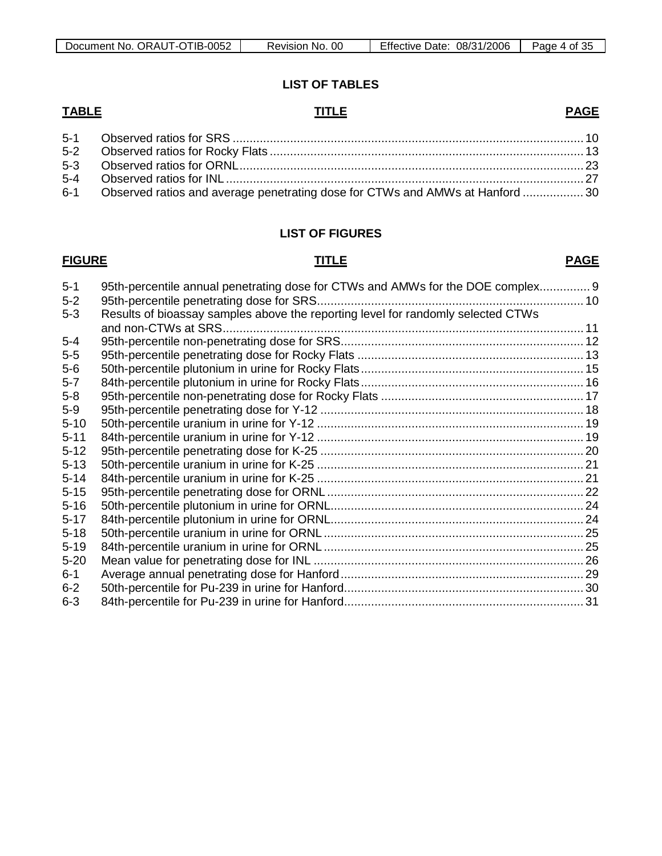### **LIST OF TABLES**

### **TABLE TITLE**

| 6-1 Observed ratios and average penetrating dose for CTWs and AMWs at Hanford  30 |  |
|-----------------------------------------------------------------------------------|--|

#### **LIST OF FIGURES**

## **FIGURE TITLE**

#### **PAGE**

**PAGE**

| $5 - 1$  | 95th-percentile annual penetrating dose for CTWs and AMWs for the DOE complex 9  |  |
|----------|----------------------------------------------------------------------------------|--|
| $5-2$    |                                                                                  |  |
| $5 - 3$  | Results of bioassay samples above the reporting level for randomly selected CTWs |  |
|          |                                                                                  |  |
| $5 - 4$  |                                                                                  |  |
| $5-5$    |                                                                                  |  |
| $5-6$    |                                                                                  |  |
| $5 - 7$  |                                                                                  |  |
| $5-8$    |                                                                                  |  |
| $5-9$    |                                                                                  |  |
| $5 - 10$ |                                                                                  |  |
| $5 - 11$ |                                                                                  |  |
| $5 - 12$ |                                                                                  |  |
| $5 - 13$ |                                                                                  |  |
| $5 - 14$ |                                                                                  |  |
| $5 - 15$ |                                                                                  |  |
| $5 - 16$ |                                                                                  |  |
| $5 - 17$ |                                                                                  |  |
| $5 - 18$ |                                                                                  |  |
| $5 - 19$ |                                                                                  |  |
| $5 - 20$ |                                                                                  |  |
| $6 - 1$  |                                                                                  |  |
| $6 - 2$  |                                                                                  |  |
| $6 - 3$  |                                                                                  |  |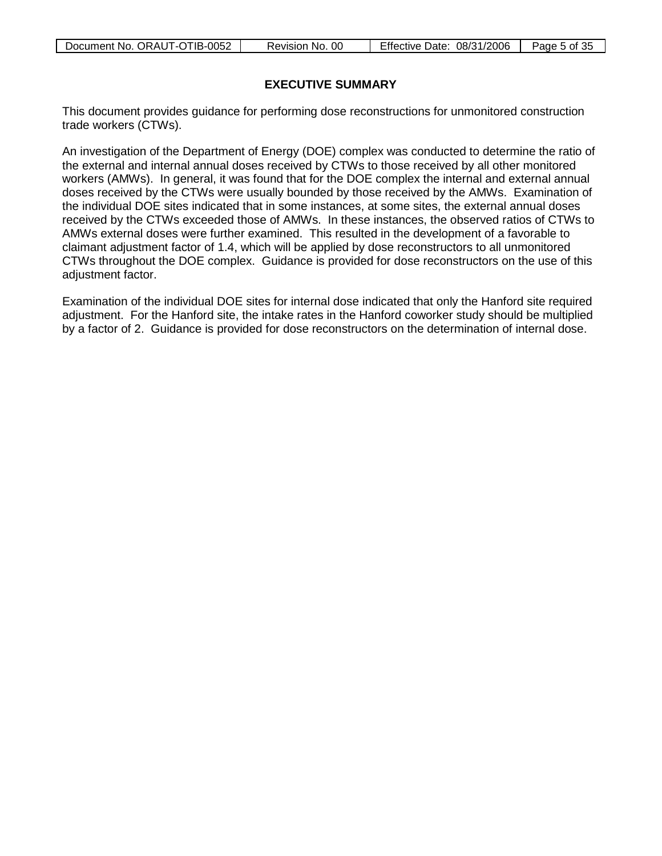| Document No. ORAUT-OTIB-0052 | Revision No. 00 | Effective Date: 08/31/2006 | Page 5 of 35 |
|------------------------------|-----------------|----------------------------|--------------|
|                              |                 |                            |              |

#### **EXECUTIVE SUMMARY**

<span id="page-4-0"></span>This document provides guidance for performing dose reconstructions for unmonitored construction trade workers (CTWs).

An investigation of the Department of Energy (DOE) complex was conducted to determine the ratio of the external and internal annual doses received by CTWs to those received by all other monitored workers (AMWs). In general, it was found that for the DOE complex the internal and external annual doses received by the CTWs were usually bounded by those received by the AMWs. Examination of the individual DOE sites indicated that in some instances, at some sites, the external annual doses received by the CTWs exceeded those of AMWs. In these instances, the observed ratios of CTWs to AMWs external doses were further examined. This resulted in the development of a favorable to claimant adjustment factor of 1.4, which will be applied by dose reconstructors to all unmonitored CTWs throughout the DOE complex. Guidance is provided for dose reconstructors on the use of this adjustment factor.

Examination of the individual DOE sites for internal dose indicated that only the Hanford site required adjustment. For the Hanford site, the intake rates in the Hanford coworker study should be multiplied by a factor of 2. Guidance is provided for dose reconstructors on the determination of internal dose.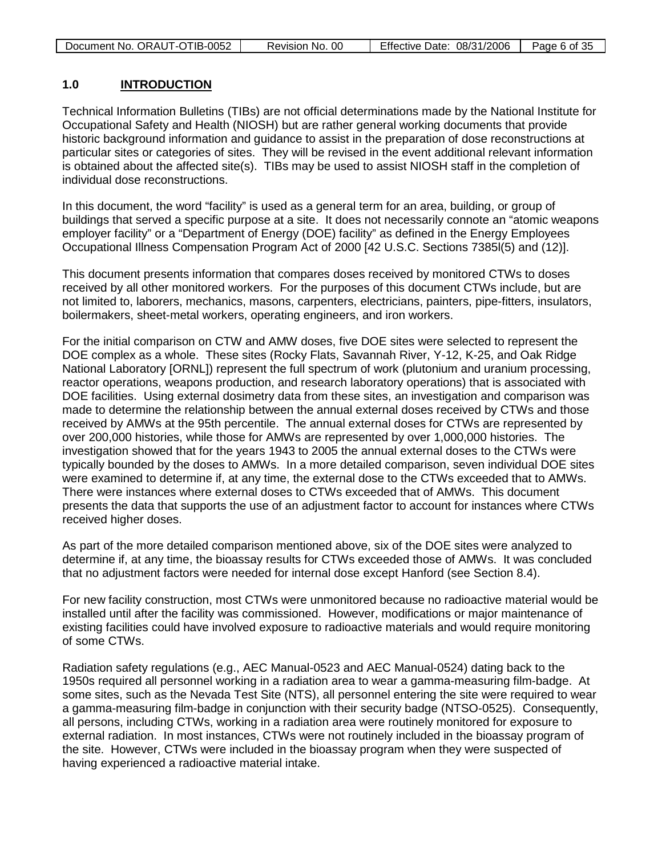| Document No. ORAUT-OTIB-0052 | Revision No. 00 | Effective Date: 08/31/2006 | Page 6 of 35 |
|------------------------------|-----------------|----------------------------|--------------|
|                              |                 |                            |              |

#### <span id="page-5-0"></span>**1.0 INTRODUCTION**

Technical Information Bulletins (TIBs) are not official determinations made by the National Institute for Occupational Safety and Health (NIOSH) but are rather general working documents that provide historic background information and guidance to assist in the preparation of dose reconstructions at particular sites or categories of sites. They will be revised in the event additional relevant information is obtained about the affected site(s). TIBs may be used to assist NIOSH staff in the completion of individual dose reconstructions.

In this document, the word "facility" is used as a general term for an area, building, or group of buildings that served a specific purpose at a site. It does not necessarily connote an "atomic weapons employer facility" or a "Department of Energy (DOE) facility" as defined in the Energy Employees Occupational Illness Compensation Program Act of 2000 [42 U.S.C. Sections 7385l(5) and (12)].

This document presents information that compares doses received by monitored CTWs to doses received by all other monitored workers. For the purposes of this document CTWs include, but are not limited to, laborers, mechanics, masons, carpenters, electricians, painters, pipe-fitters, insulators, boilermakers, sheet-metal workers, operating engineers, and iron workers.

For the initial comparison on CTW and AMW doses, five DOE sites were selected to represent the DOE complex as a whole. These sites (Rocky Flats, Savannah River, Y-12, K-25, and Oak Ridge National Laboratory [ORNL]) represent the full spectrum of work (plutonium and uranium processing, reactor operations, weapons production, and research laboratory operations) that is associated with DOE facilities. Using external dosimetry data from these sites, an investigation and comparison was made to determine the relationship between the annual external doses received by CTWs and those received by AMWs at the 95th percentile. The annual external doses for CTWs are represented by over 200,000 histories, while those for AMWs are represented by over 1,000,000 histories. The investigation showed that for the years 1943 to 2005 the annual external doses to the CTWs were typically bounded by the doses to AMWs. In a more detailed comparison, seven individual DOE sites were examined to determine if, at any time, the external dose to the CTWs exceeded that to AMWs. There were instances where external doses to CTWs exceeded that of AMWs. This document presents the data that supports the use of an adjustment factor to account for instances where CTWs received higher doses.

As part of the more detailed comparison mentioned above, six of the DOE sites were analyzed to determine if, at any time, the bioassay results for CTWs exceeded those of AMWs. It was concluded that no adjustment factors were needed for internal dose except Hanford (see Section 8.4).

For new facility construction, most CTWs were unmonitored because no radioactive material would be installed until after the facility was commissioned. However, modifications or major maintenance of existing facilities could have involved exposure to radioactive materials and would require monitoring of some CTWs.

Radiation safety regulations (e.g., AEC Manual-0523 and AEC Manual-0524) dating back to the 1950s required all personnel working in a radiation area to wear a gamma-measuring film-badge. At some sites, such as the Nevada Test Site (NTS), all personnel entering the site were required to wear a gamma-measuring film-badge in conjunction with their security badge (NTSO-0525). Consequently, all persons, including CTWs, working in a radiation area were routinely monitored for exposure to external radiation. In most instances, CTWs were not routinely included in the bioassay program of the site. However, CTWs were included in the bioassay program when they were suspected of having experienced a radioactive material intake.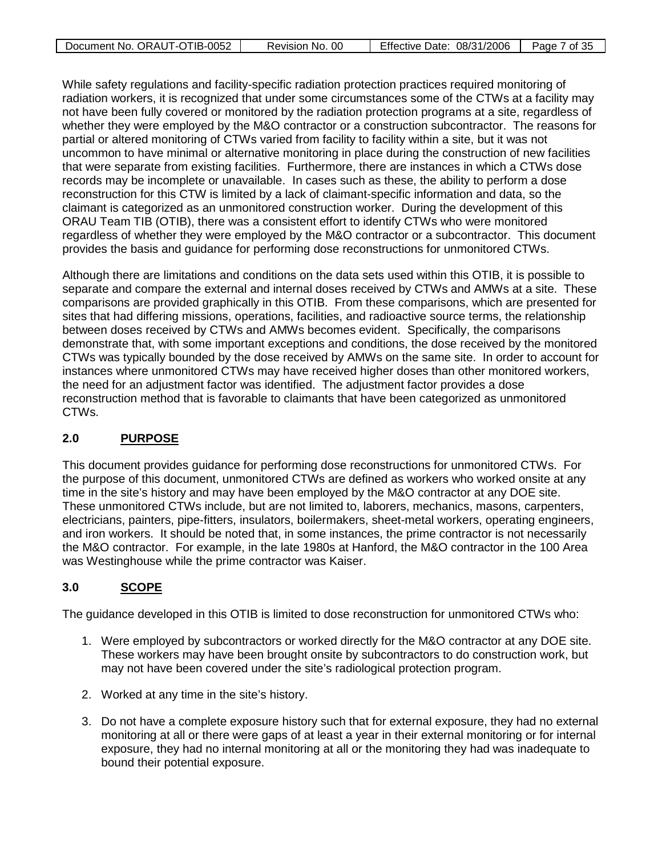| Document No. ORAUT-OTIB-0052 | Revision No. 00 | Effective Date: 08/31/2006 | Page 7 of 35 |
|------------------------------|-----------------|----------------------------|--------------|
|                              |                 |                            |              |

While safety regulations and facility-specific radiation protection practices required monitoring of radiation workers, it is recognized that under some circumstances some of the CTWs at a facility may not have been fully covered or monitored by the radiation protection programs at a site, regardless of whether they were employed by the M&O contractor or a construction subcontractor. The reasons for partial or altered monitoring of CTWs varied from facility to facility within a site, but it was not uncommon to have minimal or alternative monitoring in place during the construction of new facilities that were separate from existing facilities. Furthermore, there are instances in which a CTWs dose records may be incomplete or unavailable. In cases such as these, the ability to perform a dose reconstruction for this CTW is limited by a lack of claimant-specific information and data, so the claimant is categorized as an unmonitored construction worker. During the development of this ORAU Team TIB (OTIB), there was a consistent effort to identify CTWs who were monitored regardless of whether they were employed by the M&O contractor or a subcontractor. This document provides the basis and guidance for performing dose reconstructions for unmonitored CTWs.

Although there are limitations and conditions on the data sets used within this OTIB, it is possible to separate and compare the external and internal doses received by CTWs and AMWs at a site. These comparisons are provided graphically in this OTIB. From these comparisons, which are presented for sites that had differing missions, operations, facilities, and radioactive source terms, the relationship between doses received by CTWs and AMWs becomes evident. Specifically, the comparisons demonstrate that, with some important exceptions and conditions, the dose received by the monitored CTWs was typically bounded by the dose received by AMWs on the same site. In order to account for instances where unmonitored CTWs may have received higher doses than other monitored workers, the need for an adjustment factor was identified. The adjustment factor provides a dose reconstruction method that is favorable to claimants that have been categorized as unmonitored CTWs.

#### <span id="page-6-0"></span>**2.0 PURPOSE**

This document provides guidance for performing dose reconstructions for unmonitored CTWs. For the purpose of this document, unmonitored CTWs are defined as workers who worked onsite at any time in the site's history and may have been employed by the M&O contractor at any DOE site. These unmonitored CTWs include, but are not limited to, laborers, mechanics, masons, carpenters, electricians, painters, pipe-fitters, insulators, boilermakers, sheet-metal workers, operating engineers, and iron workers. It should be noted that, in some instances, the prime contractor is not necessarily the M&O contractor. For example, in the late 1980s at Hanford, the M&O contractor in the 100 Area was Westinghouse while the prime contractor was Kaiser.

#### <span id="page-6-1"></span>**3.0 SCOPE**

The guidance developed in this OTIB is limited to dose reconstruction for unmonitored CTWs who:

- 1. Were employed by subcontractors or worked directly for the M&O contractor at any DOE site. These workers may have been brought onsite by subcontractors to do construction work, but may not have been covered under the site's radiological protection program.
- 2. Worked at any time in the site's history.
- 3. Do not have a complete exposure history such that for external exposure, they had no external monitoring at all or there were gaps of at least a year in their external monitoring or for internal exposure, they had no internal monitoring at all or the monitoring they had was inadequate to bound their potential exposure.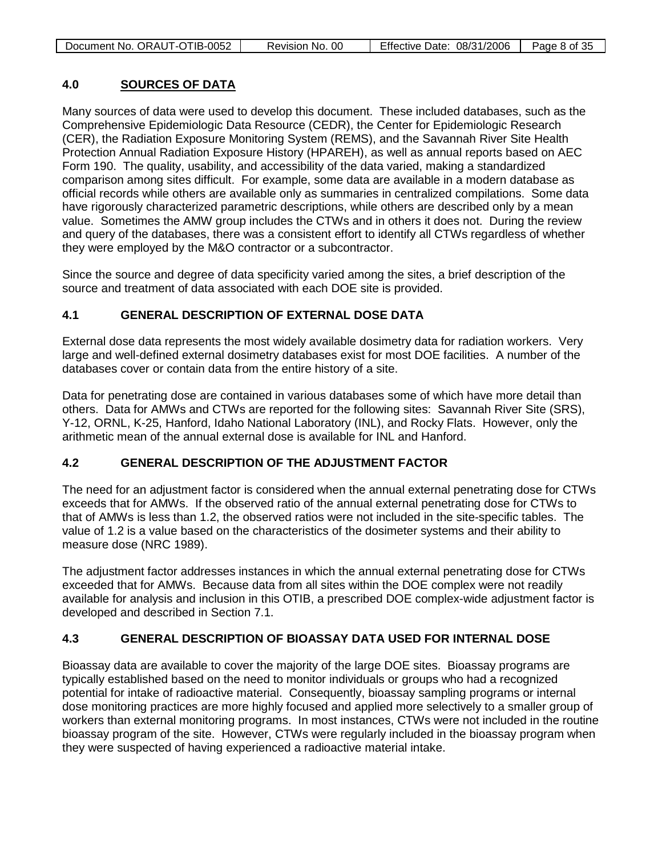| Document No. ORAUT-OTIB-0052 | Revision No. 00 | Effective Date: 08/31/2006 | Page 8 of 35 |
|------------------------------|-----------------|----------------------------|--------------|
|                              |                 |                            |              |

#### <span id="page-7-0"></span>**4.0 SOURCES OF DATA**

Many sources of data were used to develop this document. These included databases, such as the Comprehensive Epidemiologic Data Resource (CEDR), the Center for Epidemiologic Research (CER), the Radiation Exposure Monitoring System (REMS), and the Savannah River Site Health Protection Annual Radiation Exposure History (HPAREH), as well as annual reports based on AEC Form 190. The quality, usability, and accessibility of the data varied, making a standardized comparison among sites difficult. For example, some data are available in a modern database as official records while others are available only as summaries in centralized compilations. Some data have rigorously characterized parametric descriptions, while others are described only by a mean value. Sometimes the AMW group includes the CTWs and in others it does not. During the review and query of the databases, there was a consistent effort to identify all CTWs regardless of whether they were employed by the M&O contractor or a subcontractor.

Since the source and degree of data specificity varied among the sites, a brief description of the source and treatment of data associated with each DOE site is provided.

#### <span id="page-7-1"></span>**4.1 GENERAL DESCRIPTION OF EXTERNAL DOSE DATA**

External dose data represents the most widely available dosimetry data for radiation workers. Very large and well-defined external dosimetry databases exist for most DOE facilities. A number of the databases cover or contain data from the entire history of a site.

Data for penetrating dose are contained in various databases some of which have more detail than others. Data for AMWs and CTWs are reported for the following sites: Savannah River Site (SRS), Y-12, ORNL, K-25, Hanford, Idaho National Laboratory (INL), and Rocky Flats. However, only the arithmetic mean of the annual external dose is available for INL and Hanford.

#### <span id="page-7-2"></span>**4.2 GENERAL DESCRIPTION OF THE ADJUSTMENT FACTOR**

The need for an adjustment factor is considered when the annual external penetrating dose for CTWs exceeds that for AMWs. If the observed ratio of the annual external penetrating dose for CTWs to that of AMWs is less than 1.2, the observed ratios were not included in the site-specific tables. The value of 1.2 is a value based on the characteristics of the dosimeter systems and their ability to measure dose (NRC 1989).

The adjustment factor addresses instances in which the annual external penetrating dose for CTWs exceeded that for AMWs. Because data from all sites within the DOE complex were not readily available for analysis and inclusion in this OTIB, a prescribed DOE complex-wide adjustment factor is developed and described in Section 7.1.

#### <span id="page-7-3"></span>**4.3 GENERAL DESCRIPTION OF BIOASSAY DATA USED FOR INTERNAL DOSE**

Bioassay data are available to cover the majority of the large DOE sites. Bioassay programs are typically established based on the need to monitor individuals or groups who had a recognized potential for intake of radioactive material. Consequently, bioassay sampling programs or internal dose monitoring practices are more highly focused and applied more selectively to a smaller group of workers than external monitoring programs. In most instances, CTWs were not included in the routine bioassay program of the site. However, CTWs were regularly included in the bioassay program when they were suspected of having experienced a radioactive material intake.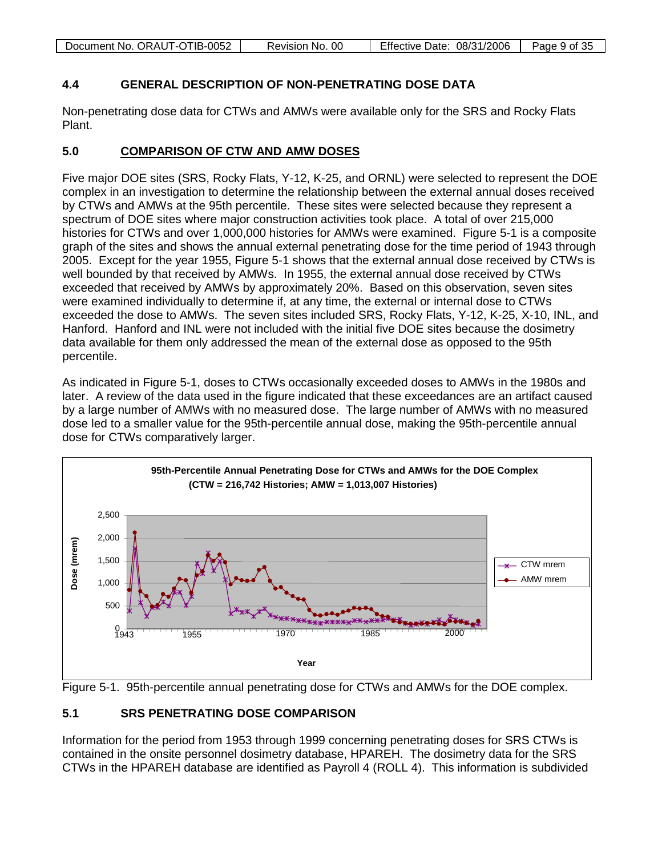| Document No. ORAUT-OTIB-0052 | Revision No. 00 | Effective Date: 08/31/2006 | Page 9 of 35 |
|------------------------------|-----------------|----------------------------|--------------|
|------------------------------|-----------------|----------------------------|--------------|

#### <span id="page-8-0"></span>**4.4 GENERAL DESCRIPTION OF NON-PENETRATING DOSE DATA**

Non-penetrating dose data for CTWs and AMWs were available only for the SRS and Rocky Flats Plant.

#### <span id="page-8-1"></span>**5.0 COMPARISON OF CTW AND AMW DOSES**

Five major DOE sites (SRS, Rocky Flats, Y-12, K-25, and ORNL) were selected to represent the DOE complex in an investigation to determine the relationship between the external annual doses received by CTWs and AMWs at the 95th percentile. These sites were selected because they represent a spectrum of DOE sites where major construction activities took place. A total of over 215,000 histories for CTWs and over 1,000,000 histories for AMWs were examined. Figure 5-1 is a composite graph of the sites and shows the annual external penetrating dose for the time period of 1943 through 2005. Except for the year 1955, Figure 5-1 shows that the external annual dose received by CTWs is well bounded by that received by AMWs. In 1955, the external annual dose received by CTWs exceeded that received by AMWs by approximately 20%. Based on this observation, seven sites were examined individually to determine if, at any time, the external or internal dose to CTWs exceeded the dose to AMWs. The seven sites included SRS, Rocky Flats, Y-12, K-25, X-10, INL, and Hanford. Hanford and INL were not included with the initial five DOE sites because the dosimetry data available for them only addressed the mean of the external dose as opposed to the 95th percentile.

As indicated in Figure 5-1, doses to CTWs occasionally exceeded doses to AMWs in the 1980s and later. A review of the data used in the figure indicated that these exceedances are an artifact caused by a large number of AMWs with no measured dose. The large number of AMWs with no measured dose led to a smaller value for the 95th-percentile annual dose, making the 95th-percentile annual dose for CTWs comparatively larger.





### <span id="page-8-2"></span>**5.1 SRS PENETRATING DOSE COMPARISON**

Information for the period from 1953 through 1999 concerning penetrating doses for SRS CTWs is contained in the onsite personnel dosimetry database, HPAREH. The dosimetry data for the SRS CTWs in the HPAREH database are identified as Payroll 4 (ROLL 4). This information is subdivided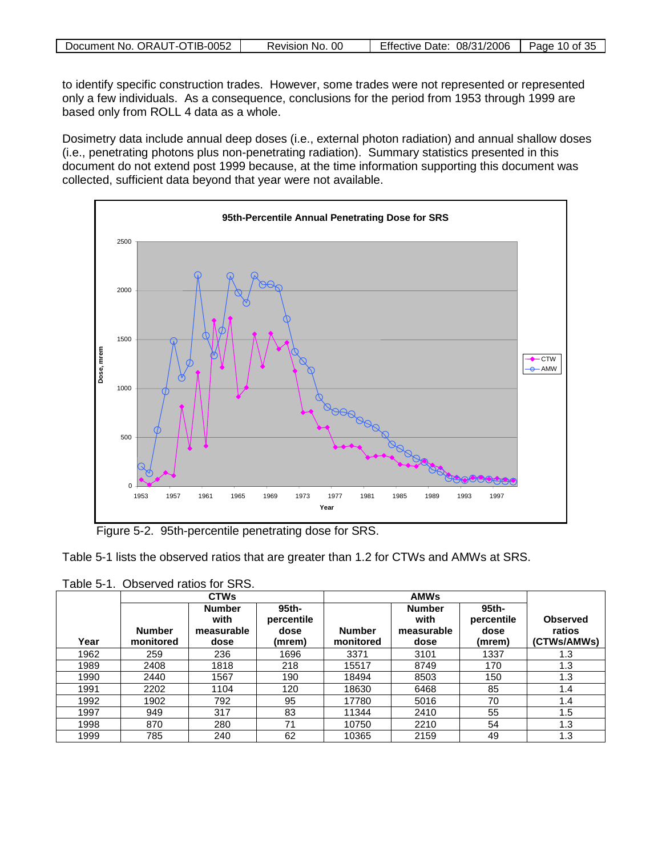|  | Document No. ORAUT-OTIB-0052 | 00<br>Revision No. | <b>Effective Date: 08/31/2006</b> | Page 10 of 35 |
|--|------------------------------|--------------------|-----------------------------------|---------------|
|--|------------------------------|--------------------|-----------------------------------|---------------|

to identify specific construction trades. However, some trades were not represented or represented only a few individuals. As a consequence, conclusions for the period from 1953 through 1999 are based only from ROLL 4 data as a whole.

Dosimetry data include annual deep doses (i.e., external photon radiation) and annual shallow doses (i.e., penetrating photons plus non-penetrating radiation). Summary statistics presented in this document do not extend post 1999 because, at the time information supporting this document was collected, sufficient data beyond that year were not available.



Figure 5-2. 95th-percentile penetrating dose for SRS.

| Table 5-1 lists the observed ratios that are greater than 1.2 for CTWs and AMWs at SRS. |
|-----------------------------------------------------------------------------------------|
|-----------------------------------------------------------------------------------------|

Table 5-1. Observed ratios for SRS.

|      |                            | <b>CTWs</b>                                 |                                       | <b>AMWs</b>                |                                             |                                                  |                                          |
|------|----------------------------|---------------------------------------------|---------------------------------------|----------------------------|---------------------------------------------|--------------------------------------------------|------------------------------------------|
| Year | <b>Number</b><br>monitored | <b>Number</b><br>with<br>measurable<br>dose | 95th-<br>percentile<br>dose<br>(mrem) | <b>Number</b><br>monitored | <b>Number</b><br>with<br>measurable<br>dose | 95 <sub>th</sub><br>percentile<br>dose<br>(mrem) | <b>Observed</b><br>ratios<br>(CTWs/AMWs) |
| 1962 | 259                        | 236                                         | 1696                                  | 3371                       | 3101                                        | 1337                                             | 1.3                                      |
| 1989 | 2408                       | 1818                                        | 218                                   | 15517                      | 8749                                        | 170                                              | 1.3                                      |
| 1990 | 2440                       | 1567                                        | 190                                   | 18494                      | 8503                                        | 150                                              | 1.3                                      |
| 1991 | 2202                       | 1104                                        | 120                                   | 18630                      | 6468                                        | 85                                               | 1.4                                      |
| 1992 | 1902                       | 792                                         | 95                                    | 17780                      | 5016                                        | 70                                               | 1.4                                      |
| 1997 | 949                        | 317                                         | 83                                    | 11344                      | 2410                                        | 55                                               | 1.5                                      |
| 1998 | 870                        | 280                                         | 71                                    | 10750                      | 2210                                        | 54                                               | 1.3                                      |
| 1999 | 785                        | 240                                         | 62                                    | 10365                      | 2159                                        | 49                                               | 1.3                                      |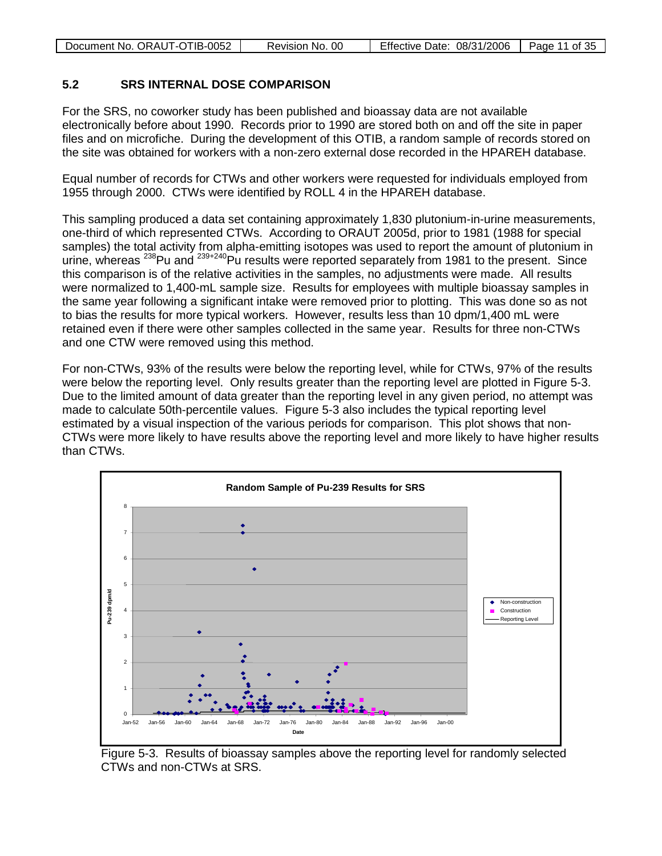| Document No. ORAUT-OTIB-0052 | Revision No. 00 | Effective Date: $08/31/2006$   Page 11 of 35 |  |
|------------------------------|-----------------|----------------------------------------------|--|
|------------------------------|-----------------|----------------------------------------------|--|

#### <span id="page-10-0"></span>**5.2 SRS INTERNAL DOSE COMPARISON**

For the SRS, no coworker study has been published and bioassay data are not available electronically before about 1990. Records prior to 1990 are stored both on and off the site in paper files and on microfiche. During the development of this OTIB, a random sample of records stored on the site was obtained for workers with a non-zero external dose recorded in the HPAREH database.

Equal number of records for CTWs and other workers were requested for individuals employed from 1955 through 2000. CTWs were identified by ROLL 4 in the HPAREH database.

This sampling produced a data set containing approximately 1,830 plutonium-in-urine measurements, one-third of which represented CTWs. According to ORAUT 2005d, prior to 1981 (1988 for special samples) the total activity from alpha-emitting isotopes was used to report the amount of plutonium in urine, whereas <sup>238</sup>Pu and <sup>239+240</sup>Pu results were reported separately from 1981 to the present. Since this comparison is of the relative activities in the samples, no adjustments were made. All results were normalized to 1,400-mL sample size. Results for employees with multiple bioassay samples in the same year following a significant intake were removed prior to plotting. This was done so as not to bias the results for more typical workers. However, results less than 10 dpm/1,400 mL were retained even if there were other samples collected in the same year. Results for three non-CTWs and one CTW were removed using this method.

For non-CTWs, 93% of the results were below the reporting level, while for CTWs, 97% of the results were below the reporting level. Only results greater than the reporting level are plotted in Figure 5-3. Due to the limited amount of data greater than the reporting level in any given period, no attempt was made to calculate 50th-percentile values. Figure 5-3 also includes the typical reporting level estimated by a visual inspection of the various periods for comparison. This plot shows that non-CTWs were more likely to have results above the reporting level and more likely to have higher results than CTWs.



Figure 5-3. Results of bioassay samples above the reporting level for randomly selected CTWs and non-CTWs at SRS.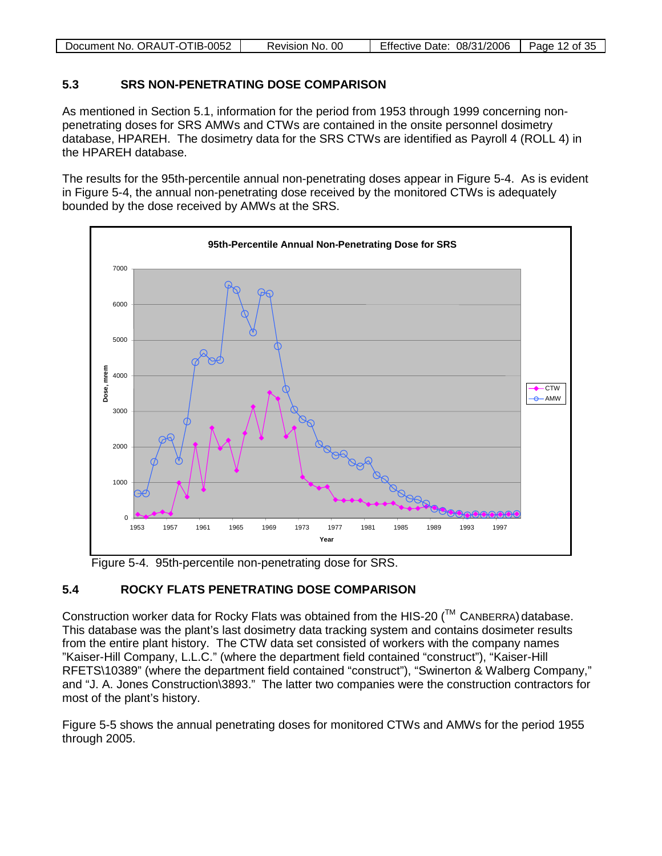| Document No. ORAUT-OTIB-0052 | Revision No. 00 | Effective Date: 08/31/2006 | Page 12 of 35 |
|------------------------------|-----------------|----------------------------|---------------|

#### <span id="page-11-0"></span>**5.3 SRS NON-PENETRATING DOSE COMPARISON**

As mentioned in Section 5.1, information for the period from 1953 through 1999 concerning nonpenetrating doses for SRS AMWs and CTWs are contained in the onsite personnel dosimetry database, HPAREH. The dosimetry data for the SRS CTWs are identified as Payroll 4 (ROLL 4) in the HPAREH database.

The results for the 95th-percentile annual non-penetrating doses appear in Figure 5-4. As is evident in Figure 5-4, the annual non-penetrating dose received by the monitored CTWs is adequately bounded by the dose received by AMWs at the SRS.



Figure 5-4. 95th-percentile non-penetrating dose for SRS.

### <span id="page-11-1"></span>**5.4 ROCKY FLATS PENETRATING DOSE COMPARISON**

Construction worker data for Rocky Flats was obtained from the HIS-20 ( $\text{TM}$  CANBERRA) database. This database was the plant's last dosimetry data tracking system and contains dosimeter results from the entire plant history. The CTW data set consisted of workers with the company names "Kaiser-Hill Company, L.L.C." (where the department field contained "construct"), "Kaiser-Hill RFETS\10389" (where the department field contained "construct"), "Swinerton & Walberg Company," and "J. A. Jones Construction\3893." The latter two companies were the construction contractors for most of the plant's history.

Figure 5-5 shows the annual penetrating doses for monitored CTWs and AMWs for the period 1955 through 2005.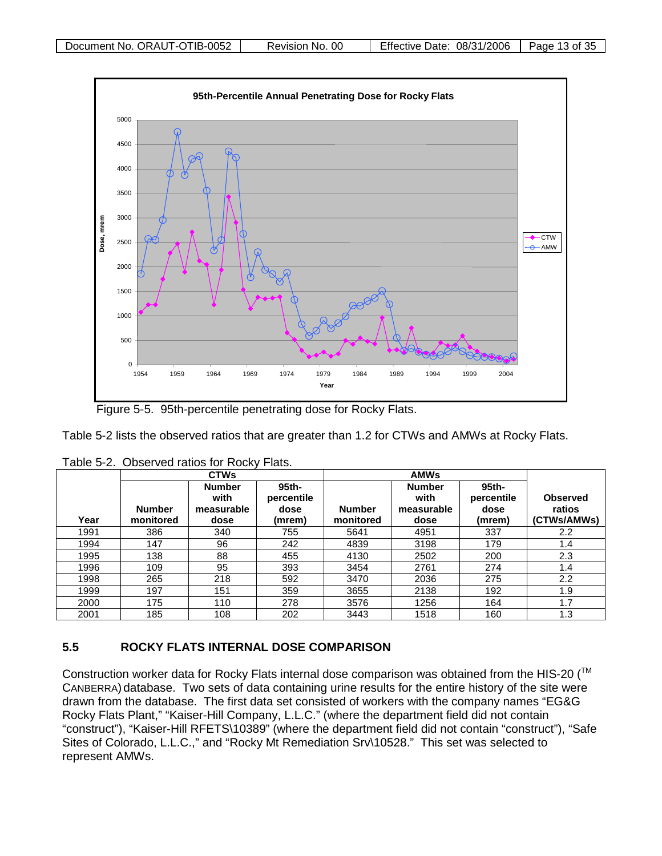

Figure 5-5. 95th-percentile penetrating dose for Rocky Flats.

Table 5-2 lists the observed ratios that are greater than 1.2 for CTWs and AMWs at Rocky Flats.

|      |                            | <b>CTWs</b>                                 |                                       |                            |                                             |                                       |                                          |
|------|----------------------------|---------------------------------------------|---------------------------------------|----------------------------|---------------------------------------------|---------------------------------------|------------------------------------------|
| Year | <b>Number</b><br>monitored | <b>Number</b><br>with<br>measurable<br>dose | 95th-<br>percentile<br>dose<br>(mrem) | <b>Number</b><br>monitored | <b>Number</b><br>with<br>measurable<br>dose | 95th-<br>percentile<br>dose<br>(mrem) | <b>Observed</b><br>ratios<br>(CTWs/AMWs) |
| 1991 | 386                        | 340                                         | 755                                   | 5641                       | 4951                                        | 337                                   | 2.2                                      |
| 1994 | 147                        | 96                                          | 242                                   | 4839                       | 3198                                        | 179                                   | 1.4                                      |
| 1995 | 138                        | 88                                          | 455                                   | 4130                       | 2502                                        | 200                                   | 2.3                                      |
| 1996 | 109                        | 95                                          | 393                                   | 3454                       | 2761                                        | 274                                   | 1.4                                      |
| 1998 | 265                        | 218                                         | 592                                   | 3470                       | 2036                                        | 275                                   | 2.2                                      |
| 1999 | 197                        | 151                                         | 359                                   | 3655                       | 2138                                        | 192                                   | 1.9                                      |
| 2000 | 175                        | 110                                         | 278                                   | 3576                       | 1256                                        | 164                                   | 1.7                                      |
| 2001 | 185                        | 108                                         | 202                                   | 3443                       | 1518                                        | 160                                   | 1.3                                      |

Table 5-2. Observed ratios for Rocky Flats.

#### <span id="page-12-0"></span>**5.5 ROCKY FLATS INTERNAL DOSE COMPARISON**

Construction worker data for Rocky Flats internal dose comparison was obtained from the HIS-20 (™ CANBERRA) database. Two sets of data containing urine results for the entire history of the site were drawn from the database. The first data set consisted of workers with the company names "EG&G Rocky Flats Plant," "Kaiser-Hill Company, L.L.C." (where the department field did not contain "construct"), "Kaiser-Hill RFETS\10389" (where the department field did not contain "construct"), "Safe Sites of Colorado, L.L.C.," and "Rocky Mt Remediation Srv\10528." This set was selected to represent AMWs.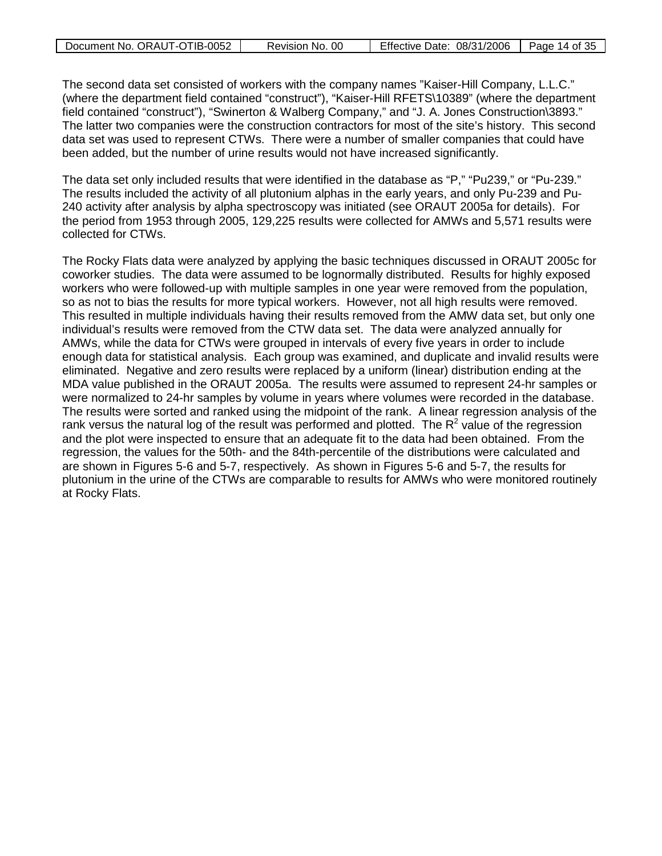| Document No. ORAUT-OTIB-0052 | Revision No. 00 | Effective Date: 08/31/2006 | Page 14 of $35$ |
|------------------------------|-----------------|----------------------------|-----------------|
|------------------------------|-----------------|----------------------------|-----------------|

The second data set consisted of workers with the company names "Kaiser-Hill Company, L.L.C." (where the department field contained "construct"), "Kaiser-Hill RFETS\10389" (where the department field contained "construct"), "Swinerton & Walberg Company," and "J. A. Jones Construction\3893." The latter two companies were the construction contractors for most of the site's history. This second data set was used to represent CTWs. There were a number of smaller companies that could have been added, but the number of urine results would not have increased significantly.

The data set only included results that were identified in the database as "P," "Pu239," or "Pu-239." The results included the activity of all plutonium alphas in the early years, and only Pu-239 and Pu-240 activity after analysis by alpha spectroscopy was initiated (see ORAUT 2005a for details). For the period from 1953 through 2005, 129,225 results were collected for AMWs and 5,571 results were collected for CTWs.

The Rocky Flats data were analyzed by applying the basic techniques discussed in ORAUT 2005c for coworker studies. The data were assumed to be lognormally distributed. Results for highly exposed workers who were followed-up with multiple samples in one year were removed from the population, so as not to bias the results for more typical workers. However, not all high results were removed. This resulted in multiple individuals having their results removed from the AMW data set, but only one individual's results were removed from the CTW data set. The data were analyzed annually for AMWs, while the data for CTWs were grouped in intervals of every five years in order to include enough data for statistical analysis. Each group was examined, and duplicate and invalid results were eliminated. Negative and zero results were replaced by a uniform (linear) distribution ending at the MDA value published in the ORAUT 2005a. The results were assumed to represent 24-hr samples or were normalized to 24-hr samples by volume in years where volumes were recorded in the database. The results were sorted and ranked using the midpoint of the rank. A linear regression analysis of the rank versus the natural log of the result was performed and plotted. The  $R^2$  value of the regression and the plot were inspected to ensure that an adequate fit to the data had been obtained. From the regression, the values for the 50th- and the 84th-percentile of the distributions were calculated and are shown in Figures 5-6 and 5-7, respectively. As shown in Figures 5-6 and 5-7, the results for plutonium in the urine of the CTWs are comparable to results for AMWs who were monitored routinely at Rocky Flats.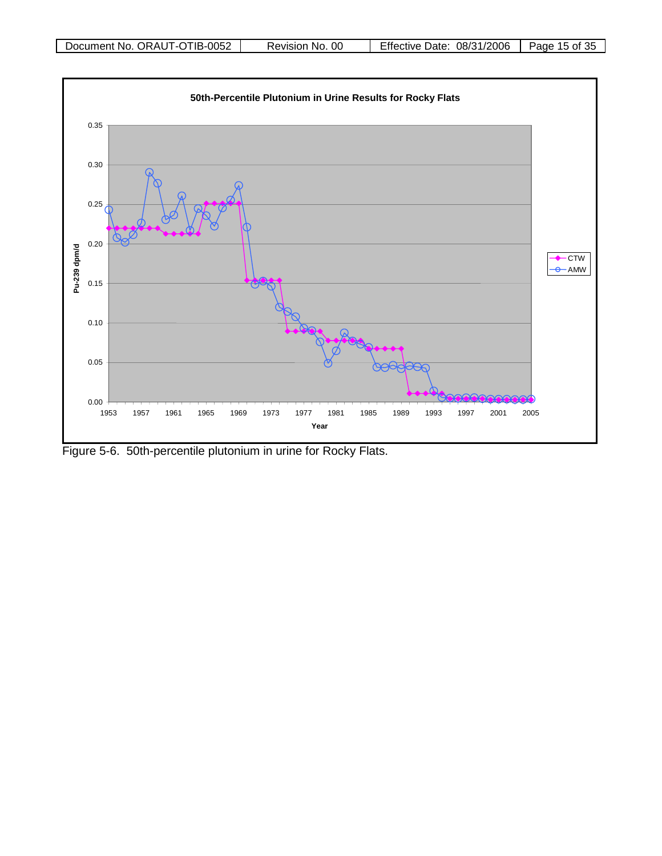

Figure 5-6. 50th-percentile plutonium in urine for Rocky Flats.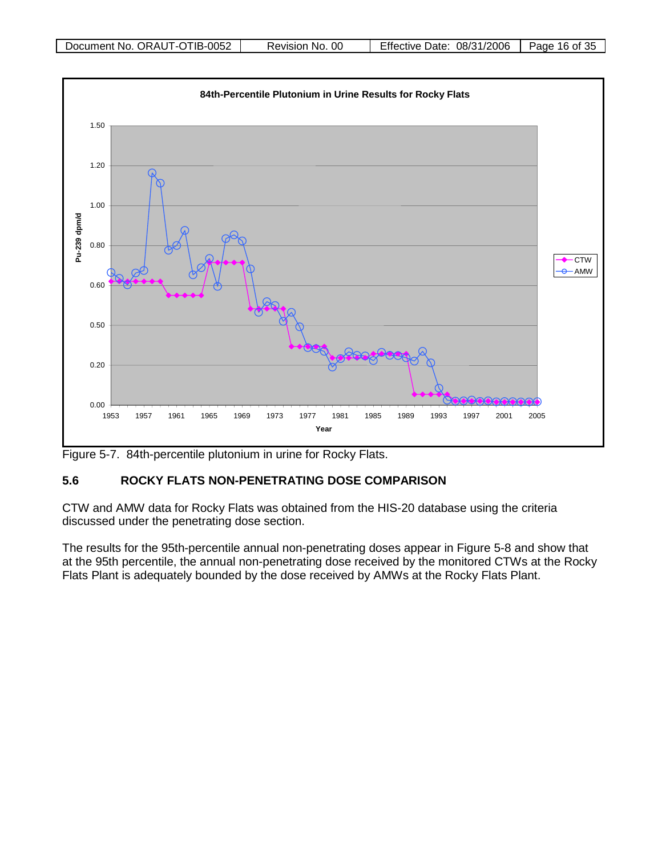

Figure 5-7. 84th-percentile plutonium in urine for Rocky Flats.

### <span id="page-15-0"></span>**5.6 ROCKY FLATS NON-PENETRATING DOSE COMPARISON**

CTW and AMW data for Rocky Flats was obtained from the HIS-20 database using the criteria discussed under the penetrating dose section.

The results for the 95th-percentile annual non-penetrating doses appear in Figure 5-8 and show that at the 95th percentile, the annual non-penetrating dose received by the monitored CTWs at the Rocky Flats Plant is adequately bounded by the dose received by AMWs at the Rocky Flats Plant.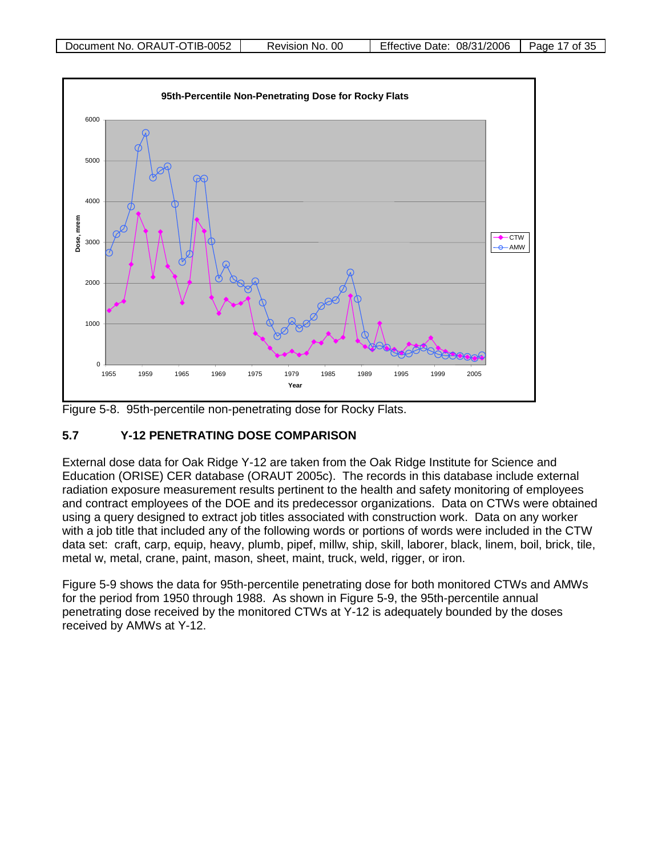

Figure 5-8. 95th-percentile non-penetrating dose for Rocky Flats.

#### <span id="page-16-0"></span>**5.7 Y-12 PENETRATING DOSE COMPARISON**

External dose data for Oak Ridge Y-12 are taken from the Oak Ridge Institute for Science and Education (ORISE) CER database (ORAUT 2005c). The records in this database include external radiation exposure measurement results pertinent to the health and safety monitoring of employees and contract employees of the DOE and its predecessor organizations. Data on CTWs were obtained using a query designed to extract job titles associated with construction work. Data on any worker with a job title that included any of the following words or portions of words were included in the CTW data set: craft, carp, equip, heavy, plumb, pipef, millw, ship, skill, laborer, black, linem, boil, brick, tile, metal w, metal, crane, paint, mason, sheet, maint, truck, weld, rigger, or iron.

Figure 5-9 shows the data for 95th-percentile penetrating dose for both monitored CTWs and AMWs for the period from 1950 through 1988. As shown in Figure 5-9, the 95th-percentile annual penetrating dose received by the monitored CTWs at Y-12 is adequately bounded by the doses received by AMWs at Y-12.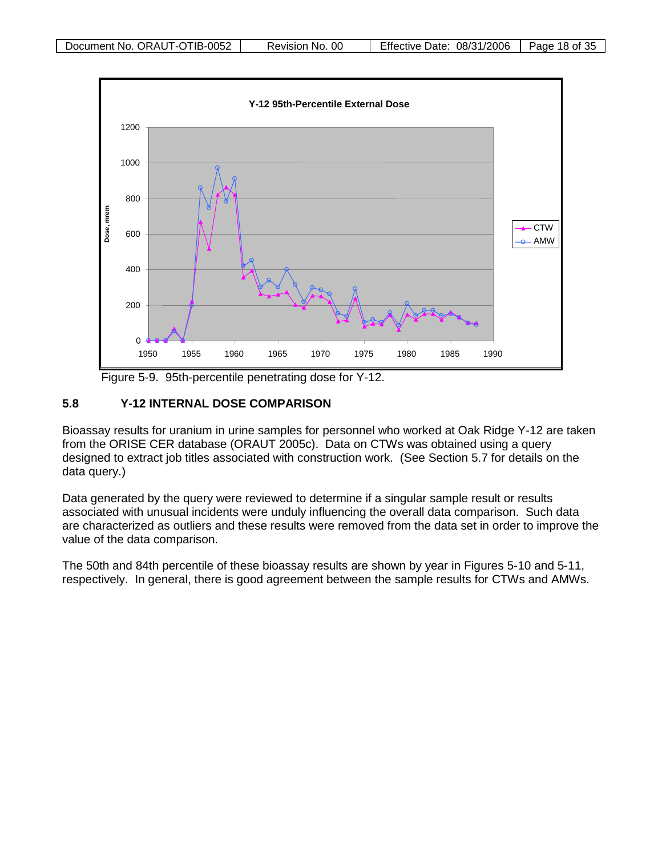

Figure 5-9. 95th-percentile penetrating dose for Y-12.

#### <span id="page-17-0"></span>**5.8 Y-12 INTERNAL DOSE COMPARISON**

Bioassay results for uranium in urine samples for personnel who worked at Oak Ridge Y-12 are taken from the ORISE CER database (ORAUT 2005c). Data on CTWs was obtained using a query designed to extract job titles associated with construction work. (See Section 5.7 for details on the data query.)

Data generated by the query were reviewed to determine if a singular sample result or results associated with unusual incidents were unduly influencing the overall data comparison. Such data are characterized as outliers and these results were removed from the data set in order to improve the value of the data comparison.

The 50th and 84th percentile of these bioassay results are shown by year in Figures 5-10 and 5-11, respectively. In general, there is good agreement between the sample results for CTWs and AMWs.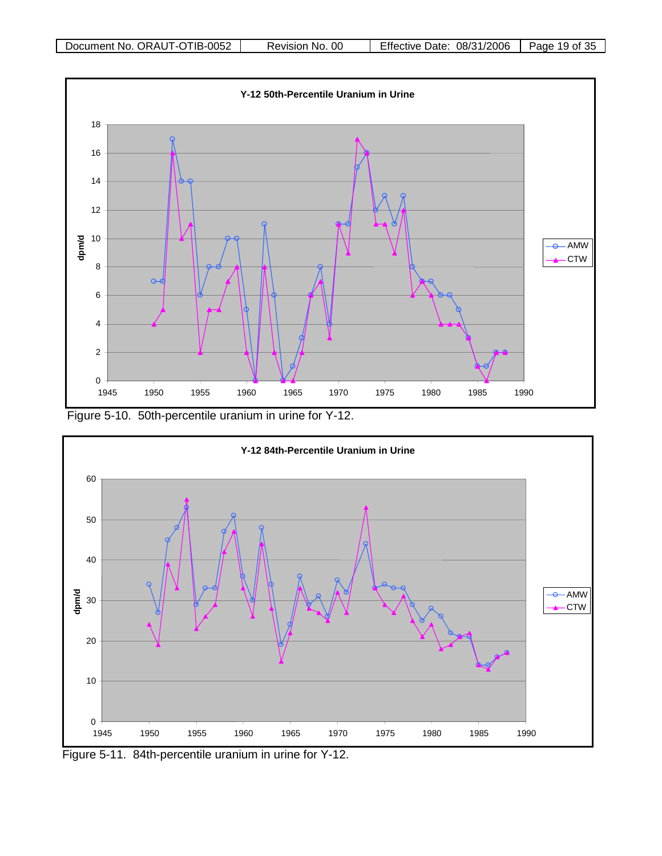

Figure 5-10. 50th-percentile uranium in urine for Y-12.



Figure 5-11. 84th-percentile uranium in urine for Y-12.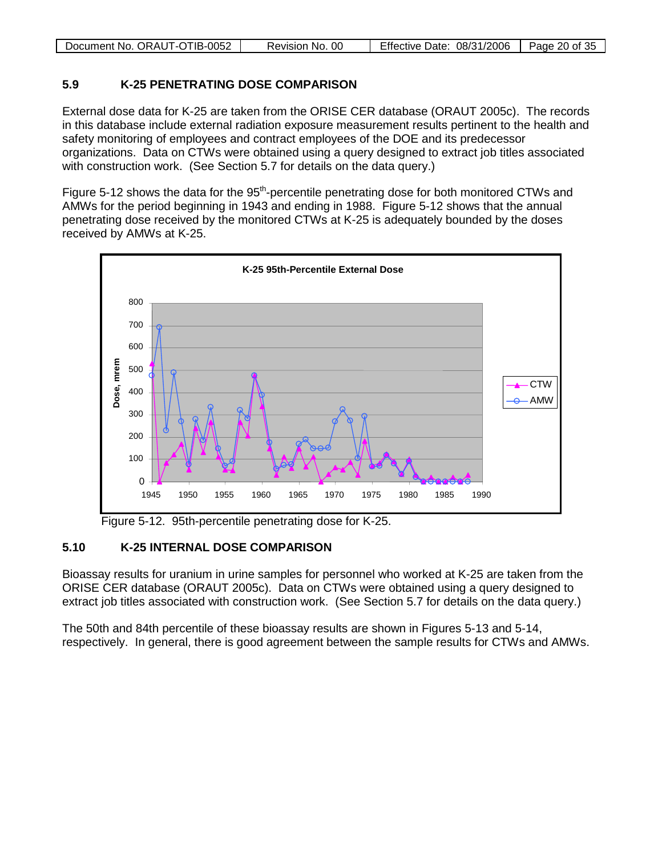|--|

#### <span id="page-19-0"></span>**5.9 K-25 PENETRATING DOSE COMPARISON**

External dose data for K-25 are taken from the ORISE CER database (ORAUT 2005c). The records in this database include external radiation exposure measurement results pertinent to the health and safety monitoring of employees and contract employees of the DOE and its predecessor organizations. Data on CTWs were obtained using a query designed to extract job titles associated with construction work. (See Section 5.7 for details on the data query.)

Figure 5-12 shows the data for the  $95<sup>th</sup>$ -percentile penetrating dose for both monitored CTWs and AMWs for the period beginning in 1943 and ending in 1988. Figure 5-12 shows that the annual penetrating dose received by the monitored CTWs at K-25 is adequately bounded by the doses received by AMWs at K-25.



Figure 5-12. 95th-percentile penetrating dose for K-25.

### <span id="page-19-1"></span>**5.10 K-25 INTERNAL DOSE COMPARISON**

Bioassay results for uranium in urine samples for personnel who worked at K-25 are taken from the ORISE CER database (ORAUT 2005c). Data on CTWs were obtained using a query designed to extract job titles associated with construction work. (See Section 5.7 for details on the data query.)

The 50th and 84th percentile of these bioassay results are shown in Figures 5-13 and 5-14, respectively. In general, there is good agreement between the sample results for CTWs and AMWs.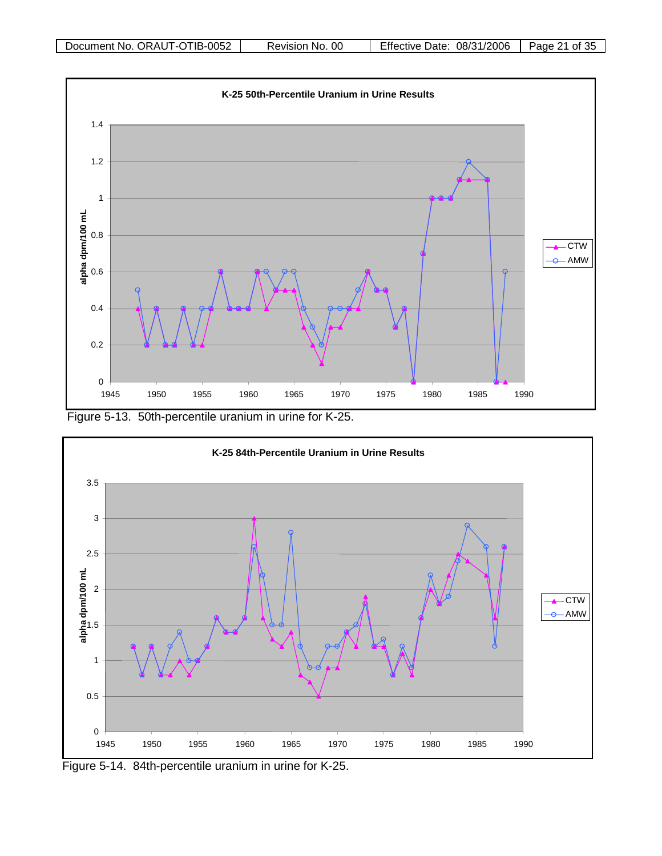

Figure 5-13. 50th-percentile uranium in urine for K-25.



Figure 5-14. 84th-percentile uranium in urine for K-25.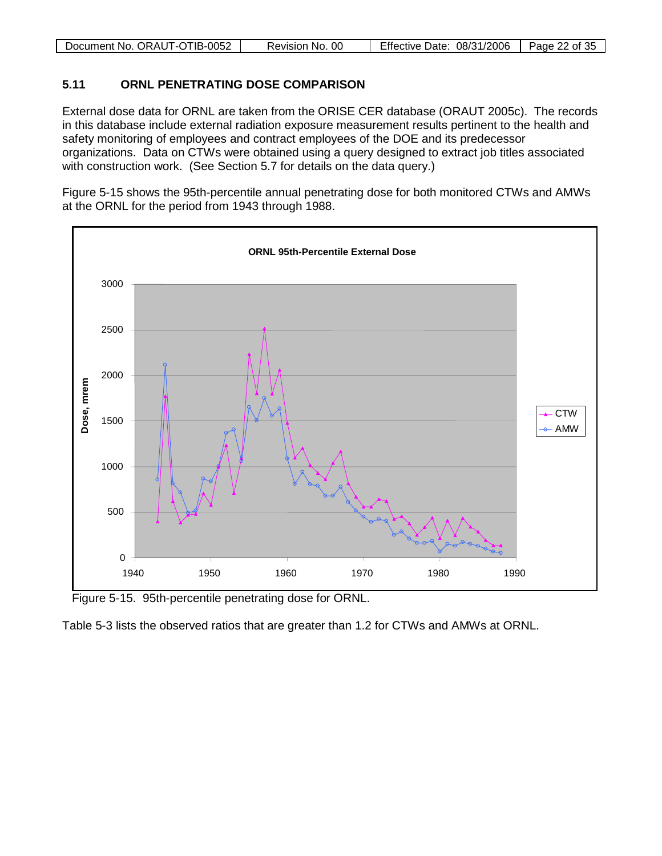| Document No. ORAUT-OTIB-0052 | Revision No. 00 | 08/31/2006<br><b>Effective Date:</b> | Page 22 of 35 |
|------------------------------|-----------------|--------------------------------------|---------------|

#### <span id="page-21-0"></span>**5.11 ORNL PENETRATING DOSE COMPARISON**

External dose data for ORNL are taken from the ORISE CER database (ORAUT 2005c). The records in this database include external radiation exposure measurement results pertinent to the health and safety monitoring of employees and contract employees of the DOE and its predecessor organizations. Data on CTWs were obtained using a query designed to extract job titles associated with construction work. (See Section 5.7 for details on the data query.)

Figure 5-15 shows the 95th-percentile annual penetrating dose for both monitored CTWs and AMWs at the ORNL for the period from 1943 through 1988.



Figure 5-15. 95th-percentile penetrating dose for ORNL.

Table 5-3 lists the observed ratios that are greater than 1.2 for CTWs and AMWs at ORNL.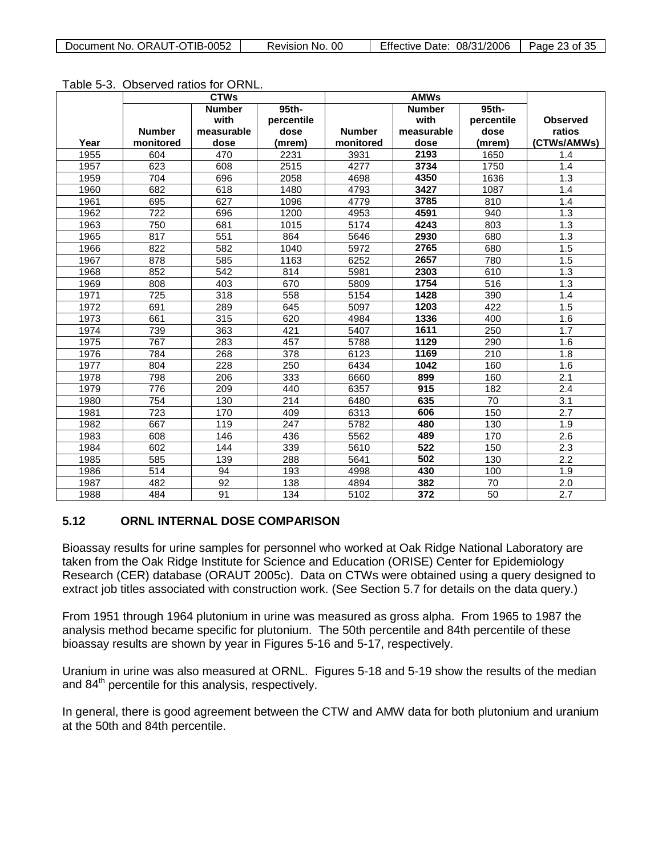|      |               | <b>CTWs</b>   |            | <b>AMWs</b>   |               |                  |                  |
|------|---------------|---------------|------------|---------------|---------------|------------------|------------------|
|      |               | <b>Number</b> | 95th-      |               | <b>Number</b> | 95th-            |                  |
|      |               | with          | percentile |               | with          | percentile       | <b>Observed</b>  |
|      | <b>Number</b> | measurable    | dose       | <b>Number</b> | measurable    | dose             | ratios           |
| Year | monitored     | dose          | (mrem)     | monitored     | dose          | (mrem)           | (CTWs/AMWs)      |
| 1955 | 604           | 470           | 2231       | 3931          | 2193          | 1650             | 1.4              |
| 1957 | 623           | 608           | 2515       | 4277          | 3734          | 1750             | 1.4              |
| 1959 | 704           | 696           | 2058       | 4698          | 4350          | 1636             | 1.3              |
| 1960 | 682           | 618           | 1480       | 4793          | 3427          | 1087             | 1.4              |
| 1961 | 695           | 627           | 1096       | 4779          | 3785          | 810              | 1.4              |
| 1962 | 722           | 696           | 1200       | 4953          | 4591          | 940              | 1.3              |
| 1963 | 750           | 681           | 1015       | 5174          | 4243          | 803              | 1.3              |
| 1965 | 817           | 551           | 864        | 5646          | 2930          | 680              | 1.3              |
| 1966 | 822           | 582           | 1040       | 5972          | 2765          | 680              | 1.5              |
| 1967 | 878           | 585           | 1163       | 6252          | 2657          | 780              | 1.5              |
| 1968 | 852           | 542           | 814        | 5981          | 2303          | 610              | 1.3              |
| 1969 | 808           | 403           | 670        | 5809          | 1754          | $\overline{516}$ | 1.3              |
| 1971 | 725           | 318           | 558        | 5154          | 1428          | 390              | 1.4              |
| 1972 | 691           | 289           | 645        | 5097          | 1203          | 422              | 1.5              |
| 1973 | 661           | 315           | 620        | 4984          | 1336          | 400              | 1.6              |
| 1974 | 739           | 363           | 421        | 5407          | 1611          | $\overline{250}$ | 1.7              |
| 1975 | 767           | 283           | 457        | 5788          | 1129          | 290              | 1.6              |
| 1976 | 784           | 268           | 378        | 6123          | 1169          | 210              | 1.8              |
| 1977 | 804           | 228           | 250        | 6434          | 1042          | 160              | 1.6              |
| 1978 | 798           | 206           | 333        | 6660          | 899           | 160              | $\overline{2.1}$ |
| 1979 | 776           | 209           | 440        | 6357          | 915           | 182              | 2.4              |
| 1980 | 754           | 130           | 214        | 6480          | 635           | 70               | 3.1              |
| 1981 | 723           | 170           | 409        | 6313          | 606           | 150              | 2.7              |
| 1982 | 667           | 119           | 247        | 5782          | 480           | 130              | 1.9              |
| 1983 | 608           | 146           | 436        | 5562          | 489           | 170              | 2.6              |
| 1984 | 602           | 144           | 339        | 5610          | 522           | 150              | 2.3              |
| 1985 | 585           | 139           | 288        | 5641          | 502           | 130              | 2.2              |
| 1986 | 514           | 94            | 193        | 4998          | 430           | 100              | 1.9              |
| 1987 | 482           | 92            | 138        | 4894          | 382           | 70               | 2.0              |
| 1988 | 484           | 91            | 134        | 5102          | 372           | $\overline{50}$  | $\overline{2.7}$ |

#### <span id="page-22-0"></span>**5.12 ORNL INTERNAL DOSE COMPARISON**

Bioassay results for urine samples for personnel who worked at Oak Ridge National Laboratory are taken from the Oak Ridge Institute for Science and Education (ORISE) Center for Epidemiology Research (CER) database (ORAUT 2005c). Data on CTWs were obtained using a query designed to extract job titles associated with construction work. (See Section 5.7 for details on the data query.)

From 1951 through 1964 plutonium in urine was measured as gross alpha. From 1965 to 1987 the analysis method became specific for plutonium. The 50th percentile and 84th percentile of these bioassay results are shown by year in Figures 5-16 and 5-17, respectively.

Uranium in urine was also measured at ORNL. Figures 5-18 and 5-19 show the results of the median and 84<sup>th</sup> percentile for this analysis, respectively.

In general, there is good agreement between the CTW and AMW data for both plutonium and uranium at the 50th and 84th percentile.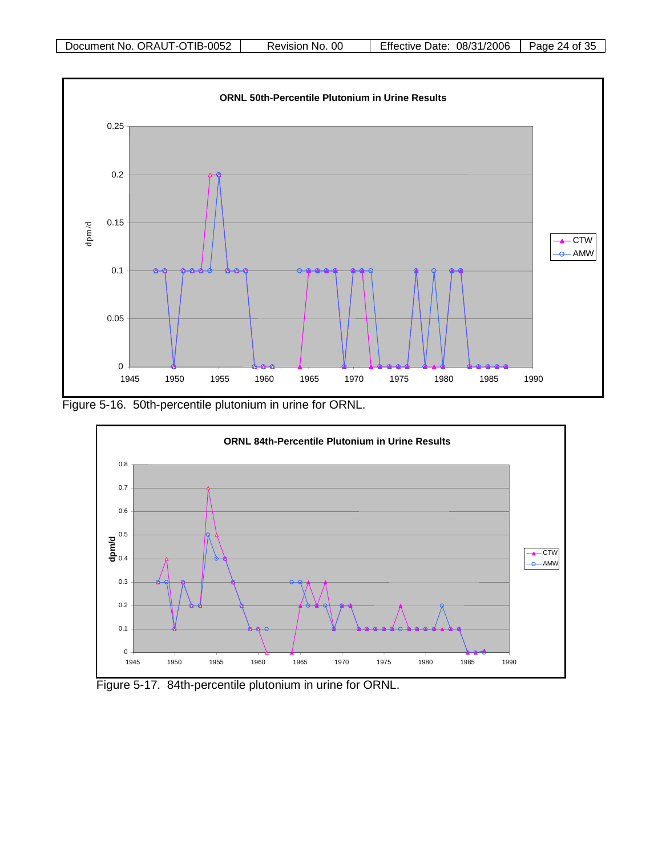

Figure 5-16. 50th-percentile plutonium in urine for ORNL.



Figure 5-17. 84th-percentile plutonium in urine for ORNL.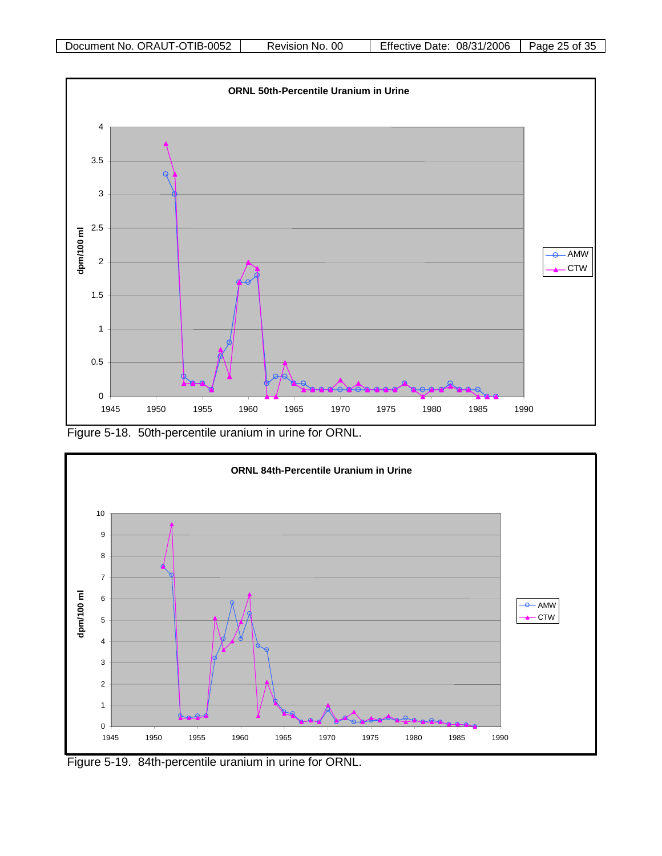

Figure 5-18. 50th-percentile uranium in urine for ORNL.



Figure 5-19. 84th-percentile uranium in urine for ORNL.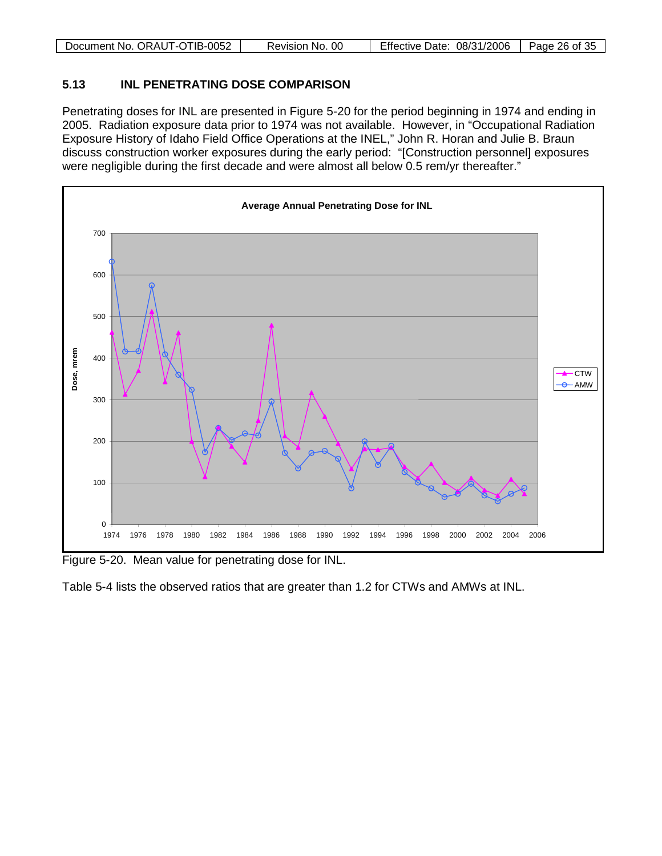| Document No. ORAUT-OTIB-0052 | No. 00<br>Revision | 08/31/2006<br>Date:<br>Effective | -35<br>26 of<br>Page |
|------------------------------|--------------------|----------------------------------|----------------------|

#### <span id="page-25-0"></span>**5.13 INL PENETRATING DOSE COMPARISON**

Penetrating doses for INL are presented in Figure 5-20 for the period beginning in 1974 and ending in 2005. Radiation exposure data prior to 1974 was not available. However, in "Occupational Radiation Exposure History of Idaho Field Office Operations at the INEL," John R. Horan and Julie B. Braun discuss construction worker exposures during the early period: "[Construction personnel] exposures were negligible during the first decade and were almost all below 0.5 rem/yr thereafter."



Figure 5-20. Mean value for penetrating dose for INL.

Table 5-4 lists the observed ratios that are greater than 1.2 for CTWs and AMWs at INL.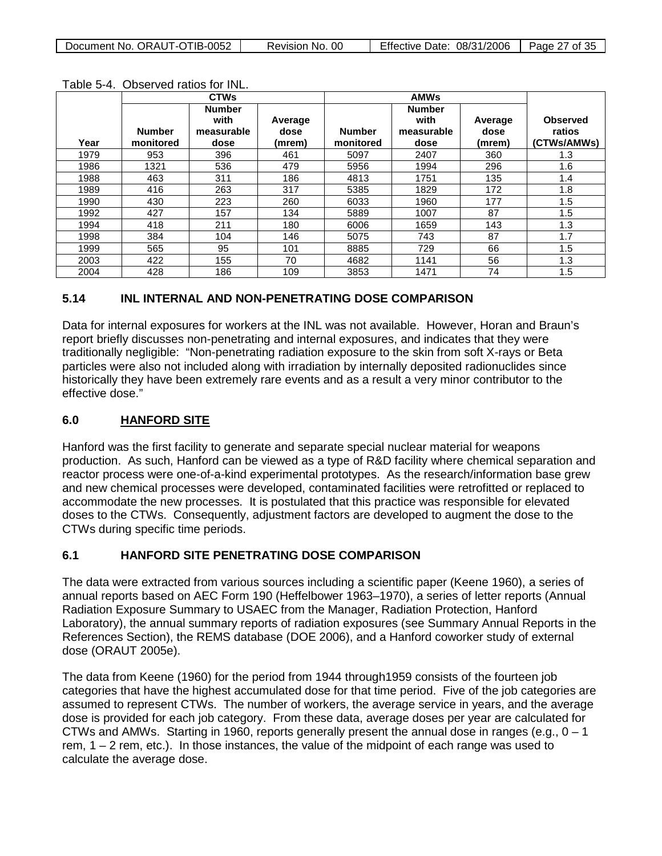|      |                            | <b>CTWs</b>                                 |                           | <b>AMWs</b>                |                                             |                           |                                          |
|------|----------------------------|---------------------------------------------|---------------------------|----------------------------|---------------------------------------------|---------------------------|------------------------------------------|
| Year | <b>Number</b><br>monitored | <b>Number</b><br>with<br>measurable<br>dose | Average<br>dose<br>(mrem) | <b>Number</b><br>monitored | <b>Number</b><br>with<br>measurable<br>dose | Average<br>dose<br>(mrem) | <b>Observed</b><br>ratios<br>(CTWs/AMWs) |
| 1979 | 953                        | 396                                         | 461                       | 5097                       | 2407                                        | 360                       | 1.3                                      |
| 1986 | 1321                       | 536                                         | 479                       | 5956                       | 1994                                        | 296                       | 1.6                                      |
| 1988 | 463                        | 311                                         | 186                       | 4813                       | 1751                                        | 135                       | 1.4                                      |
| 1989 | 416                        | 263                                         | 317                       | 5385                       | 1829                                        | 172                       | 1.8                                      |
| 1990 | 430                        | 223                                         | 260                       | 6033                       | 1960                                        | 177                       | 1.5                                      |
| 1992 | 427                        | 157                                         | 134                       | 5889                       | 1007                                        | 87                        | 1.5                                      |
| 1994 | 418                        | 211                                         | 180                       | 6006                       | 1659                                        | 143                       | 1.3                                      |
| 1998 | 384                        | 104                                         | 146                       | 5075                       | 743                                         | 87                        | 1.7                                      |
| 1999 | 565                        | 95                                          | 101                       | 8885                       | 729                                         | 66                        | 1.5                                      |
| 2003 | 422                        | 155                                         | 70                        | 4682                       | 1141                                        | 56                        | 1.3                                      |
| 2004 | 428                        | 186                                         | 109                       | 3853                       | 1471                                        | 74                        | 1.5                                      |

Table 5-4. Observed ratios for INL.

#### <span id="page-26-0"></span>**5.14 INL INTERNAL AND NON-PENETRATING DOSE COMPARISON**

Data for internal exposures for workers at the INL was not available. However, Horan and Braun's report briefly discusses non-penetrating and internal exposures, and indicates that they were traditionally negligible: "Non-penetrating radiation exposure to the skin from soft X-rays or Beta particles were also not included along with irradiation by internally deposited radionuclides since historically they have been extremely rare events and as a result a very minor contributor to the effective dose."

#### <span id="page-26-1"></span>**6.0 HANFORD SITE**

Hanford was the first facility to generate and separate special nuclear material for weapons production. As such, Hanford can be viewed as a type of R&D facility where chemical separation and reactor process were one-of-a-kind experimental prototypes. As the research/information base grew and new chemical processes were developed, contaminated facilities were retrofitted or replaced to accommodate the new processes. It is postulated that this practice was responsible for elevated doses to the CTWs. Consequently, adjustment factors are developed to augment the dose to the CTWs during specific time periods.

### <span id="page-26-2"></span>**6.1 HANFORD SITE PENETRATING DOSE COMPARISON**

The data were extracted from various sources including a scientific paper (Keene 1960), a series of annual reports based on AEC Form 190 (Heffelbower 1963–1970), a series of letter reports (Annual Radiation Exposure Summary to USAEC from the Manager, Radiation Protection, Hanford Laboratory), the annual summary reports of radiation exposures (see Summary Annual Reports in the References Section), the REMS database (DOE 2006), and a Hanford coworker study of external dose (ORAUT 2005e).

The data from Keene (1960) for the period from 1944 through1959 consists of the fourteen job categories that have the highest accumulated dose for that time period. Five of the job categories are assumed to represent CTWs. The number of workers, the average service in years, and the average dose is provided for each job category. From these data, average doses per year are calculated for CTWs and AMWs. Starting in 1960, reports generally present the annual dose in ranges (e.g.,  $0 - 1$ ) rem,  $1 - 2$  rem, etc.). In those instances, the value of the midpoint of each range was used to calculate the average dose.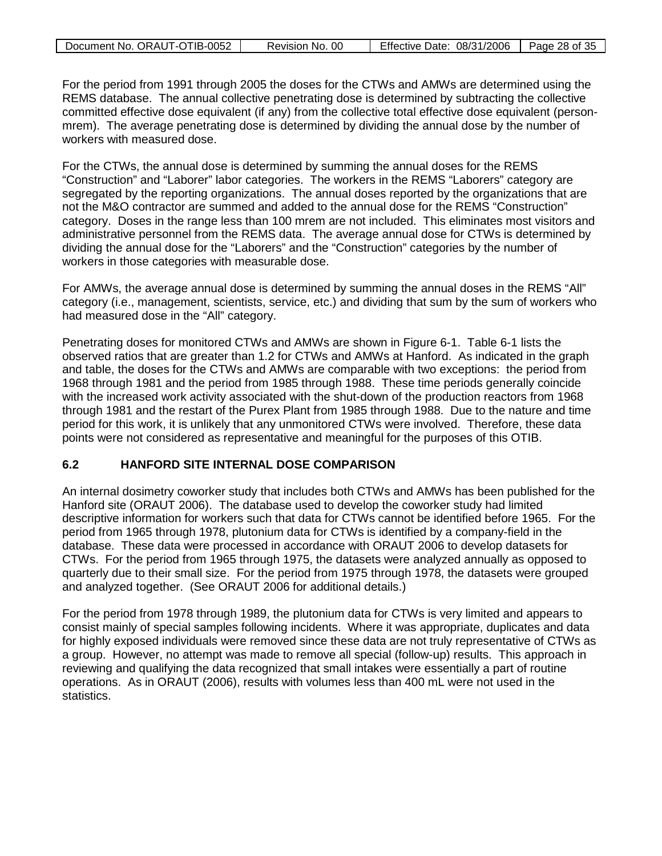| Document No. ORAUT-OTIB-0052 | Revision No. 00 | Effective Date: 08/31/2006   Page 28 of 35 |  |
|------------------------------|-----------------|--------------------------------------------|--|
|                              |                 |                                            |  |

For the period from 1991 through 2005 the doses for the CTWs and AMWs are determined using the REMS database. The annual collective penetrating dose is determined by subtracting the collective committed effective dose equivalent (if any) from the collective total effective dose equivalent (personmrem). The average penetrating dose is determined by dividing the annual dose by the number of workers with measured dose.

For the CTWs, the annual dose is determined by summing the annual doses for the REMS "Construction" and "Laborer" labor categories. The workers in the REMS "Laborers" category are segregated by the reporting organizations. The annual doses reported by the organizations that are not the M&O contractor are summed and added to the annual dose for the REMS "Construction" category. Doses in the range less than 100 mrem are not included. This eliminates most visitors and administrative personnel from the REMS data. The average annual dose for CTWs is determined by dividing the annual dose for the "Laborers" and the "Construction" categories by the number of workers in those categories with measurable dose.

For AMWs, the average annual dose is determined by summing the annual doses in the REMS "All" category (i.e., management, scientists, service, etc.) and dividing that sum by the sum of workers who had measured dose in the "All" category.

Penetrating doses for monitored CTWs and AMWs are shown in Figure 6-1. Table 6-1 lists the observed ratios that are greater than 1.2 for CTWs and AMWs at Hanford. As indicated in the graph and table, the doses for the CTWs and AMWs are comparable with two exceptions: the period from 1968 through 1981 and the period from 1985 through 1988. These time periods generally coincide with the increased work activity associated with the shut-down of the production reactors from 1968 through 1981 and the restart of the Purex Plant from 1985 through 1988. Due to the nature and time period for this work, it is unlikely that any unmonitored CTWs were involved. Therefore, these data points were not considered as representative and meaningful for the purposes of this OTIB.

#### <span id="page-27-0"></span>**6.2 HANFORD SITE INTERNAL DOSE COMPARISON**

An internal dosimetry coworker study that includes both CTWs and AMWs has been published for the Hanford site (ORAUT 2006). The database used to develop the coworker study had limited descriptive information for workers such that data for CTWs cannot be identified before 1965. For the period from 1965 through 1978, plutonium data for CTWs is identified by a company-field in the database. These data were processed in accordance with ORAUT 2006 to develop datasets for CTWs. For the period from 1965 through 1975, the datasets were analyzed annually as opposed to quarterly due to their small size. For the period from 1975 through 1978, the datasets were grouped and analyzed together. (See ORAUT 2006 for additional details.)

For the period from 1978 through 1989, the plutonium data for CTWs is very limited and appears to consist mainly of special samples following incidents. Where it was appropriate, duplicates and data for highly exposed individuals were removed since these data are not truly representative of CTWs as a group. However, no attempt was made to remove all special (follow-up) results. This approach in reviewing and qualifying the data recognized that small intakes were essentially a part of routine operations. As in ORAUT (2006), results with volumes less than 400 mL were not used in the statistics.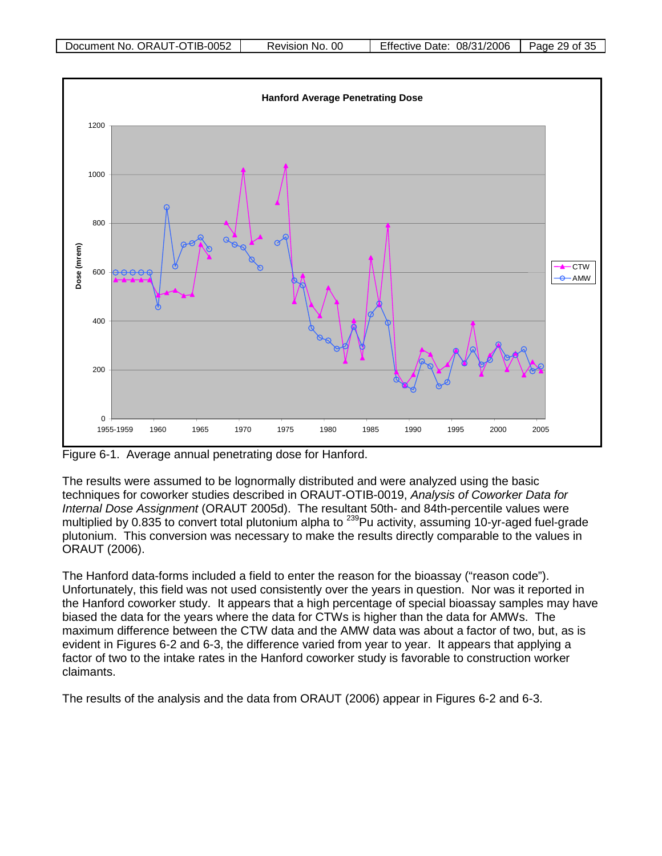

Figure 6-1. Average annual penetrating dose for Hanford.

The results were assumed to be lognormally distributed and were analyzed using the basic techniques for coworker studies described in ORAUT-OTIB-0019, *Analysis of Coworker Data for Internal Dose Assignment* (ORAUT 2005d). The resultant 50th- and 84th-percentile values were multiplied by 0.835 to convert total plutonium alpha to <sup>239</sup>Pu activity, assuming 10-yr-aged fuel-grade plutonium. This conversion was necessary to make the results directly comparable to the values in ORAUT (2006).

The Hanford data-forms included a field to enter the reason for the bioassay ("reason code"). Unfortunately, this field was not used consistently over the years in question. Nor was it reported in the Hanford coworker study. It appears that a high percentage of special bioassay samples may have biased the data for the years where the data for CTWs is higher than the data for AMWs. The maximum difference between the CTW data and the AMW data was about a factor of two, but, as is evident in Figures 6-2 and 6-3, the difference varied from year to year. It appears that applying a factor of two to the intake rates in the Hanford coworker study is favorable to construction worker claimants.

The results of the analysis and the data from ORAUT (2006) appear in Figures 6-2 and 6-3.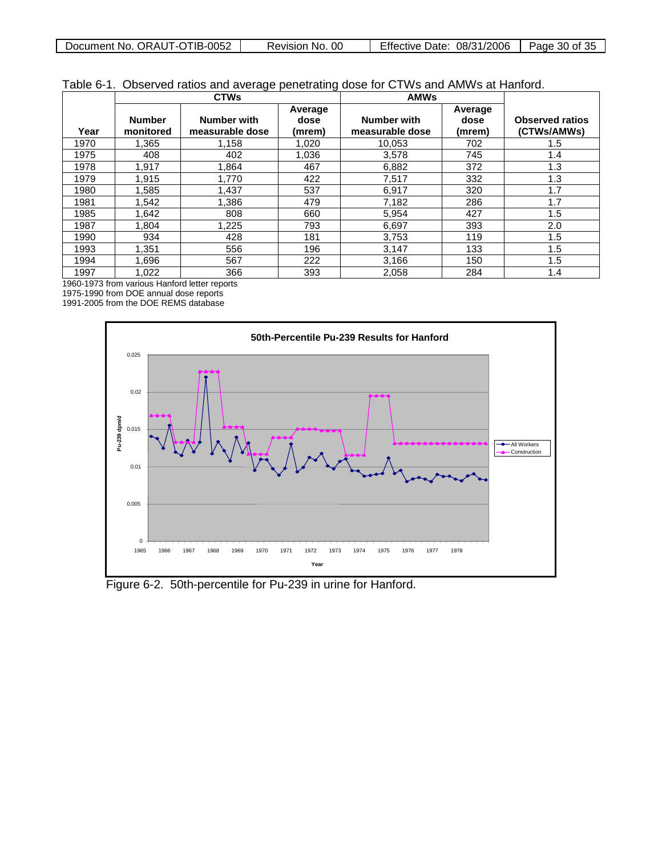| Document No.<br>ORAUT-OTIB-0052 | 00<br>Revision No. | Effective<br>08/31/2006<br>Date: | Page<br>: つに<br>30 of<br>ູ |
|---------------------------------|--------------------|----------------------------------|----------------------------|

|  |  |  |  | Table 6-1. Observed ratios and average penetrating dose for CTWs and AMWs at Hanford. |
|--|--|--|--|---------------------------------------------------------------------------------------|
|--|--|--|--|---------------------------------------------------------------------------------------|

|      | <b>CTWs</b>                |                                       |                           | <b>AMWs</b>                           |                           |                                       |
|------|----------------------------|---------------------------------------|---------------------------|---------------------------------------|---------------------------|---------------------------------------|
| Year | <b>Number</b><br>monitored | <b>Number with</b><br>measurable dose | Average<br>dose<br>(mrem) | <b>Number with</b><br>measurable dose | Average<br>dose<br>(mrem) | <b>Observed ratios</b><br>(CTWs/AMWs) |
| 1970 | 1.365                      | 1.158                                 | 1.020                     | 10.053                                | 702                       | 1.5                                   |
| 1975 | 408                        | 402                                   | 1,036                     | 3,578                                 | 745                       | 1.4                                   |
| 1978 | 1,917                      | 1.864                                 | 467                       | 6,882                                 | 372                       | 1.3                                   |
| 1979 | 1.915                      | 1.770                                 | 422                       | 7,517                                 | 332                       | 1.3                                   |
| 1980 | 1,585                      | 1.437                                 | 537                       | 6,917                                 | 320                       | 1.7                                   |
| 1981 | 1,542                      | 1.386                                 | 479                       | 7,182                                 | 286                       | 1.7                                   |
| 1985 | 1,642                      | 808                                   | 660                       | 5,954                                 | 427                       | 1.5                                   |
| 1987 | 1,804                      | 1,225                                 | 793                       | 6,697                                 | 393                       | 2.0                                   |
| 1990 | 934                        | 428                                   | 181                       | 3,753                                 | 119                       | 1.5                                   |
| 1993 | 1.351                      | 556                                   | 196                       | 3,147                                 | 133                       | 1.5                                   |
| 1994 | 1,696                      | 567                                   | 222                       | 3,166                                 | 150                       | 1.5                                   |
| 1997 | 1,022                      | 366                                   | 393                       | 2,058                                 | 284                       | 1.4                                   |

1960-1973 from various Hanford letter reports

1975-1990 from DOE annual dose reports

1991-2005 from the DOE REMS database



Figure 6-2. 50th-percentile for Pu-239 in urine for Hanford.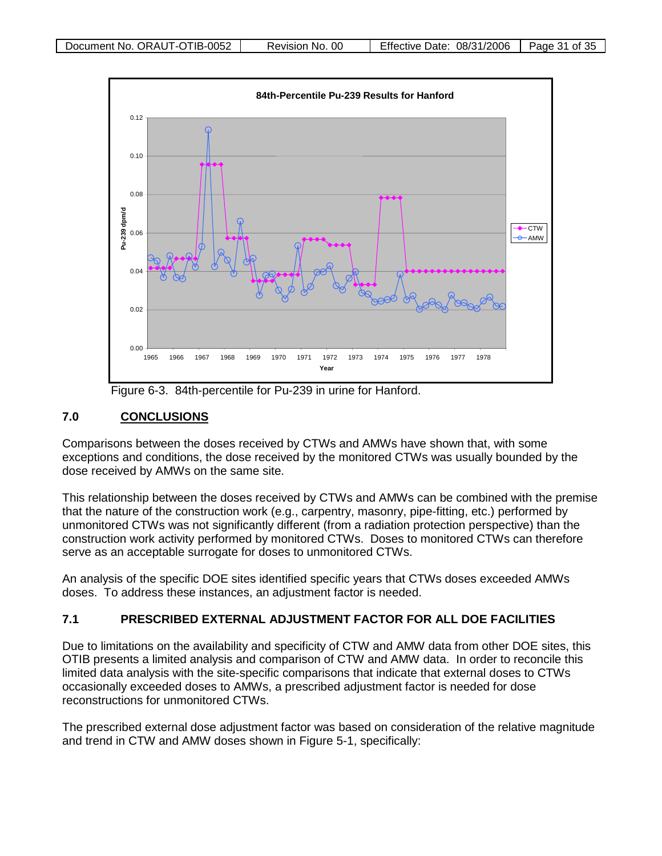

Figure 6-3. 84th-percentile for Pu-239 in urine for Hanford.

#### <span id="page-30-0"></span>**7.0 CONCLUSIONS**

Comparisons between the doses received by CTWs and AMWs have shown that, with some exceptions and conditions, the dose received by the monitored CTWs was usually bounded by the dose received by AMWs on the same site.

This relationship between the doses received by CTWs and AMWs can be combined with the premise that the nature of the construction work (e.g., carpentry, masonry, pipe-fitting, etc.) performed by unmonitored CTWs was not significantly different (from a radiation protection perspective) than the construction work activity performed by monitored CTWs. Doses to monitored CTWs can therefore serve as an acceptable surrogate for doses to unmonitored CTWs.

An analysis of the specific DOE sites identified specific years that CTWs doses exceeded AMWs doses. To address these instances, an adjustment factor is needed.

### <span id="page-30-1"></span>**7.1 PRESCRIBED EXTERNAL ADJUSTMENT FACTOR FOR ALL DOE FACILITIES**

Due to limitations on the availability and specificity of CTW and AMW data from other DOE sites, this OTIB presents a limited analysis and comparison of CTW and AMW data. In order to reconcile this limited data analysis with the site-specific comparisons that indicate that external doses to CTWs occasionally exceeded doses to AMWs, a prescribed adjustment factor is needed for dose reconstructions for unmonitored CTWs.

The prescribed external dose adjustment factor was based on consideration of the relative magnitude and trend in CTW and AMW doses shown in Figure 5-1, specifically: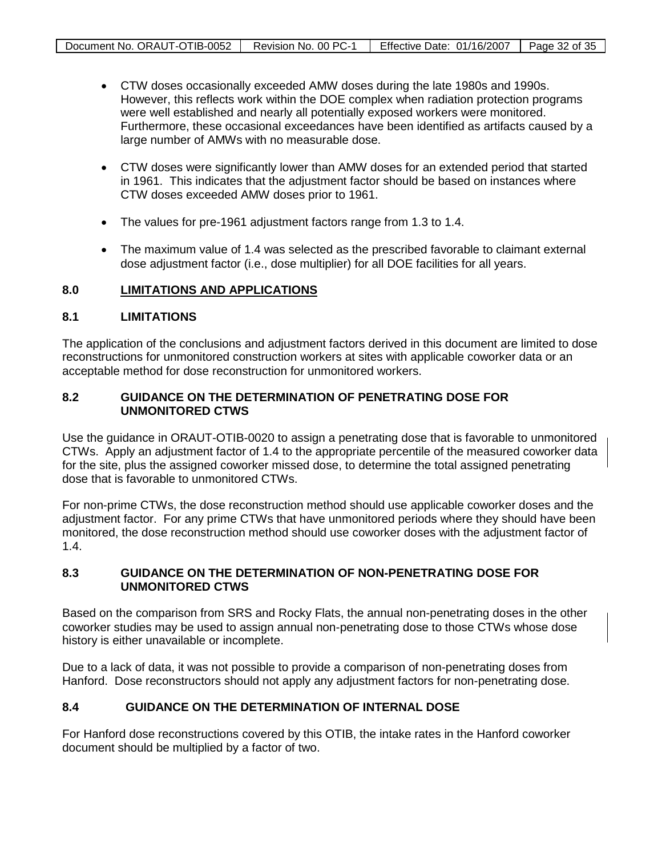- CTW doses occasionally exceeded AMW doses during the late 1980s and 1990s. However, this reflects work within the DOE complex when radiation protection programs were well established and nearly all potentially exposed workers were monitored. Furthermore, these occasional exceedances have been identified as artifacts caused by a large number of AMWs with no measurable dose.
- CTW doses were significantly lower than AMW doses for an extended period that started in 1961. This indicates that the adjustment factor should be based on instances where CTW doses exceeded AMW doses prior to 1961.
- The values for pre-1961 adjustment factors range from 1.3 to 1.4.
- The maximum value of 1.4 was selected as the prescribed favorable to claimant external dose adjustment factor (i.e., dose multiplier) for all DOE facilities for all years.

#### <span id="page-31-0"></span>**8.0 LIMITATIONS AND APPLICATIONS**

#### <span id="page-31-1"></span>**8.1 LIMITATIONS**

The application of the conclusions and adjustment factors derived in this document are limited to dose reconstructions for unmonitored construction workers at sites with applicable coworker data or an acceptable method for dose reconstruction for unmonitored workers.

#### <span id="page-31-2"></span>**8.2 GUIDANCE ON THE DETERMINATION OF PENETRATING DOSE FOR UNMONITORED CTWS**

Use the guidance in ORAUT-OTIB-0020 to assign a penetrating dose that is favorable to unmonitored CTWs. Apply an adjustment factor of 1.4 to the appropriate percentile of the measured coworker data for the site, plus the assigned coworker missed dose, to determine the total assigned penetrating dose that is favorable to unmonitored CTWs.

For non-prime CTWs, the dose reconstruction method should use applicable coworker doses and the adjustment factor. For any prime CTWs that have unmonitored periods where they should have been monitored, the dose reconstruction method should use coworker doses with the adjustment factor of 1.4.

#### <span id="page-31-3"></span>**8.3 GUIDANCE ON THE DETERMINATION OF NON-PENETRATING DOSE FOR UNMONITORED CTWS**

Based on the comparison from SRS and Rocky Flats, the annual non-penetrating doses in the other coworker studies may be used to assign annual non-penetrating dose to those CTWs whose dose history is either unavailable or incomplete.

Due to a lack of data, it was not possible to provide a comparison of non-penetrating doses from Hanford. Dose reconstructors should not apply any adjustment factors for non-penetrating dose.

#### <span id="page-31-4"></span>**8.4 GUIDANCE ON THE DETERMINATION OF INTERNAL DOSE**

For Hanford dose reconstructions covered by this OTIB, the intake rates in the Hanford coworker document should be multiplied by a factor of two.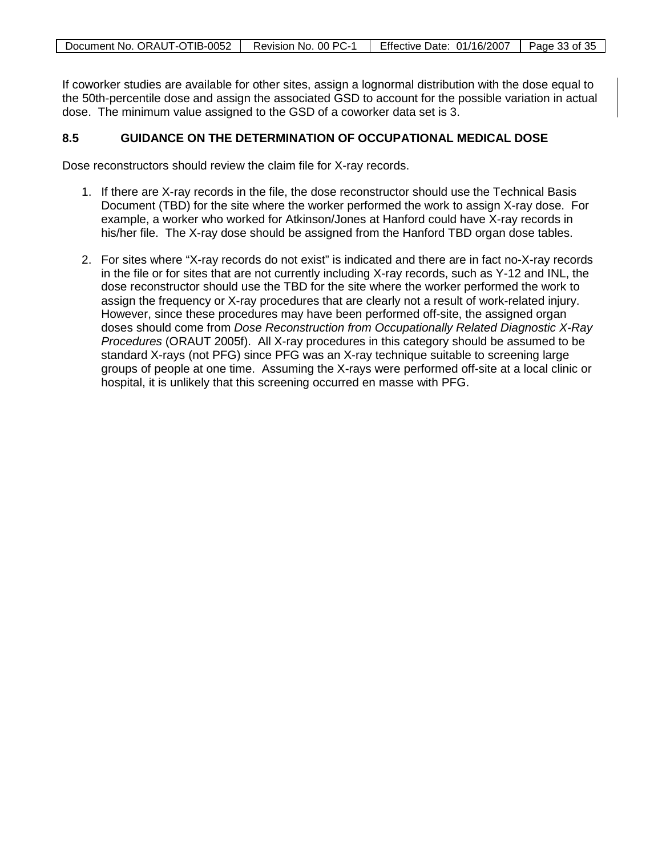If coworker studies are available for other sites, assign a lognormal distribution with the dose equal to the 50th-percentile dose and assign the associated GSD to account for the possible variation in actual dose. The minimum value assigned to the GSD of a coworker data set is 3.

#### <span id="page-32-0"></span>**8.5 GUIDANCE ON THE DETERMINATION OF OCCUPATIONAL MEDICAL DOSE**

Dose reconstructors should review the claim file for X-ray records.

- 1. If there are X-ray records in the file, the dose reconstructor should use the Technical Basis Document (TBD) for the site where the worker performed the work to assign X-ray dose. For example, a worker who worked for Atkinson/Jones at Hanford could have X-ray records in his/her file. The X-ray dose should be assigned from the Hanford TBD organ dose tables.
- 2. For sites where "X-ray records do not exist" is indicated and there are in fact no-X-ray records in the file or for sites that are not currently including X-ray records, such as Y-12 and INL, the dose reconstructor should use the TBD for the site where the worker performed the work to assign the frequency or X-ray procedures that are clearly not a result of work-related injury. However, since these procedures may have been performed off-site, the assigned organ doses should come from *Dose Reconstruction from Occupationally Related Diagnostic X-Ray Procedures* (ORAUT 2005f). All X-ray procedures in this category should be assumed to be standard X-rays (not PFG) since PFG was an X-ray technique suitable to screening large groups of people at one time. Assuming the X-rays were performed off-site at a local clinic or hospital, it is unlikely that this screening occurred en masse with PFG.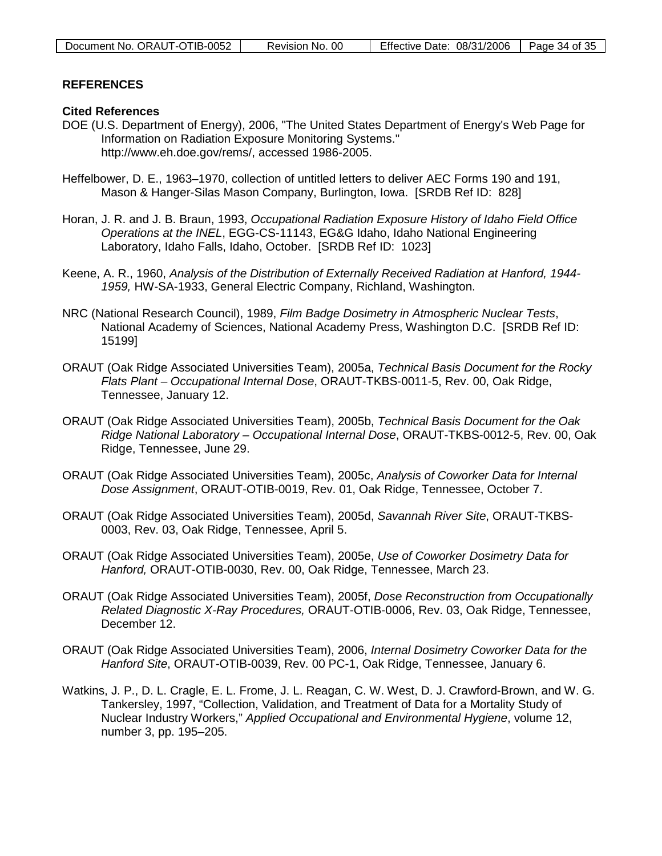| Document No. ORAUT-OTIB-0052 | Revision No. 00 | Effective Date: $08/31/2006$   Page 34 of 35 |  |
|------------------------------|-----------------|----------------------------------------------|--|

#### <span id="page-33-0"></span>**REFERENCES**

#### **Cited References**

- DOE (U.S. Department of Energy), 2006, "The United States Department of Energy's Web Page for Information on Radiation Exposure Monitoring Systems." http://www.eh.doe.gov/rems/, accessed 1986-2005.
- Heffelbower, D. E., 1963–1970, collection of untitled letters to deliver AEC Forms 190 and 191, Mason & Hanger-Silas Mason Company, Burlington, Iowa. [SRDB Ref ID: 828]
- Horan, J. R. and J. B. Braun, 1993, *Occupational Radiation Exposure History of Idaho Field Office Operations at the INEL*, EGG-CS-11143, EG&G Idaho, Idaho National Engineering Laboratory, Idaho Falls, Idaho, October. [SRDB Ref ID: 1023]
- Keene, A. R., 1960, *Analysis of the Distribution of Externally Received Radiation at Hanford, 1944- 1959,* HW-SA-1933, General Electric Company, Richland, Washington.
- NRC (National Research Council), 1989, *Film Badge Dosimetry in Atmospheric Nuclear Tests*, National Academy of Sciences, National Academy Press, Washington D.C. [SRDB Ref ID: 15199]
- ORAUT (Oak Ridge Associated Universities Team), 2005a, *Technical Basis Document for the Rocky Flats Plant – Occupational Internal Dose*, ORAUT-TKBS-0011-5, Rev. 00, Oak Ridge, Tennessee, January 12.
- ORAUT (Oak Ridge Associated Universities Team), 2005b, *Technical Basis Document for the Oak Ridge National Laboratory – Occupational Internal Dose*, ORAUT-TKBS-0012-5, Rev. 00, Oak Ridge, Tennessee, June 29.
- ORAUT (Oak Ridge Associated Universities Team), 2005c, *Analysis of Coworker Data for Internal Dose Assignment*, ORAUT-OTIB-0019, Rev. 01, Oak Ridge, Tennessee, October 7.
- ORAUT (Oak Ridge Associated Universities Team), 2005d, *Savannah River Site*, ORAUT-TKBS-0003, Rev. 03, Oak Ridge, Tennessee, April 5.
- ORAUT (Oak Ridge Associated Universities Team), 2005e, *Use of Coworker Dosimetry Data for Hanford,* ORAUT-OTIB-0030, Rev. 00, Oak Ridge, Tennessee, March 23.
- ORAUT (Oak Ridge Associated Universities Team), 2005f, *Dose Reconstruction from Occupationally Related Diagnostic X-Ray Procedures,* ORAUT-OTIB-0006, Rev. 03, Oak Ridge, Tennessee, December 12.
- ORAUT (Oak Ridge Associated Universities Team), 2006, *Internal Dosimetry Coworker Data for the Hanford Site*, ORAUT-OTIB-0039, Rev. 00 PC-1, Oak Ridge, Tennessee, January 6.
- Watkins, J. P., D. L. Cragle, E. L. Frome, J. L. Reagan, C. W. West, D. J. Crawford-Brown, and W. G. Tankersley, 1997, "Collection, Validation, and Treatment of Data for a Mortality Study of Nuclear Industry Workers," *Applied Occupational and Environmental Hygiene*, volume 12, number 3, pp. 195–205.